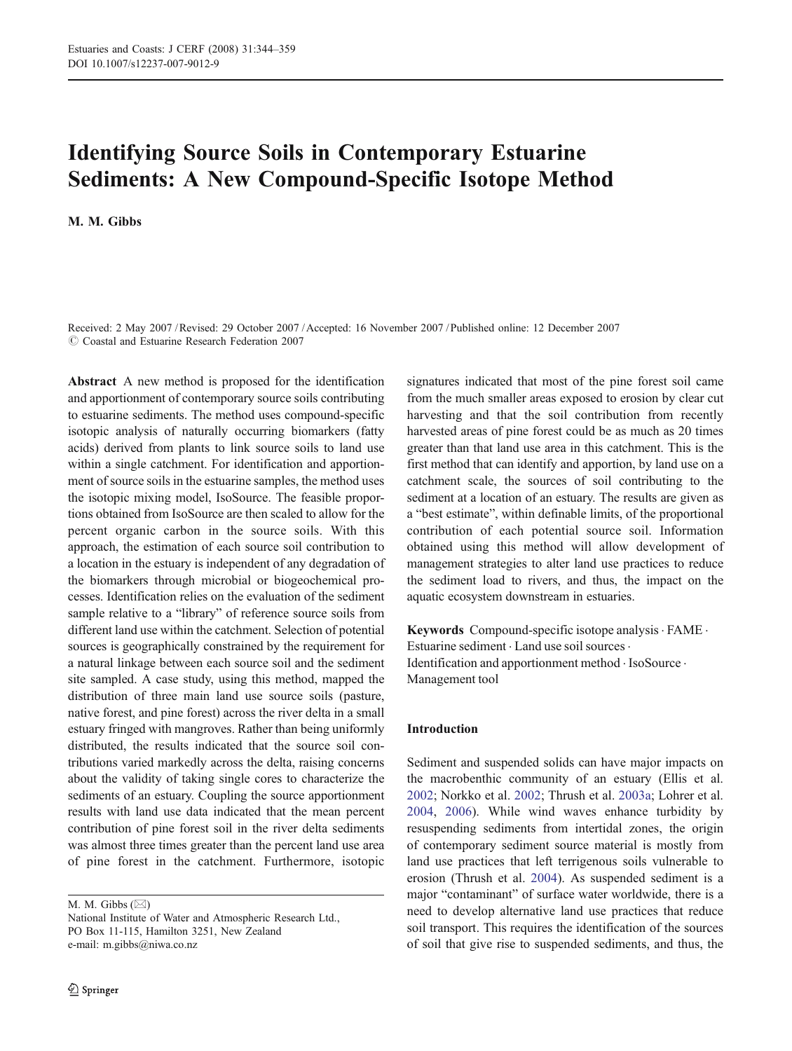# Identifying Source Soils in Contemporary Estuarine Sediments: A New Compound-Specific Isotope Method

M. M. Gibbs

Received: 2 May 2007 /Revised: 29 October 2007 /Accepted: 16 November 2007 / Published online: 12 December 2007  $\oslash$  Coastal and Estuarine Research Federation 2007

Abstract A new method is proposed for the identification and apportionment of contemporary source soils contributing to estuarine sediments. The method uses compound-specific isotopic analysis of naturally occurring biomarkers (fatty acids) derived from plants to link source soils to land use within a single catchment. For identification and apportionment of source soils in the estuarine samples, the method uses the isotopic mixing model, IsoSource. The feasible proportions obtained from IsoSource are then scaled to allow for the percent organic carbon in the source soils. With this approach, the estimation of each source soil contribution to a location in the estuary is independent of any degradation of the biomarkers through microbial or biogeochemical processes. Identification relies on the evaluation of the sediment sample relative to a "library" of reference source soils from different land use within the catchment. Selection of potential sources is geographically constrained by the requirement for a natural linkage between each source soil and the sediment site sampled. A case study, using this method, mapped the distribution of three main land use source soils (pasture, native forest, and pine forest) across the river delta in a small estuary fringed with mangroves. Rather than being uniformly distributed, the results indicated that the source soil contributions varied markedly across the delta, raising concerns about the validity of taking single cores to characterize the sediments of an estuary. Coupling the source apportionment results with land use data indicated that the mean percent contribution of pine forest soil in the river delta sediments was almost three times greater than the percent land use area of pine forest in the catchment. Furthermore, isotopic

M. M. Gibbs (*\**)

signatures indicated that most of the pine forest soil came from the much smaller areas exposed to erosion by clear cut harvesting and that the soil contribution from recently harvested areas of pine forest could be as much as 20 times greater than that land use area in this catchment. This is the first method that can identify and apportion, by land use on a catchment scale, the sources of soil contributing to the sediment at a location of an estuary. The results are given as a "best estimate", within definable limits, of the proportional contribution of each potential source soil. Information obtained using this method will allow development of management strategies to alter land use practices to reduce the sediment load to rivers, and thus, the impact on the aquatic ecosystem downstream in estuaries.

Keywords Compound-specific isotope analysis. FAME . Estuarine sediment  $\cdot$  Land use soil sources  $\cdot$ Identification and apportionment method . IsoSource . Management tool

## Introduction

Sediment and suspended solids can have major impacts on the macrobenthic community of an estuary (Ellis et al. [2002](#page-14-0); Norkko et al. [2002;](#page-14-0) Thrush et al. [2003a;](#page-15-0) Lohrer et al. [2004](#page-14-0), [2006](#page-14-0)). While wind waves enhance turbidity by resuspending sediments from intertidal zones, the origin of contemporary sediment source material is mostly from land use practices that left terrigenous soils vulnerable to erosion (Thrush et al. [2004](#page-15-0)). As suspended sediment is a major "contaminant" of surface water worldwide, there is a need to develop alternative land use practices that reduce soil transport. This requires the identification of the sources of soil that give rise to suspended sediments, and thus, the

National Institute of Water and Atmospheric Research Ltd., PO Box 11-115, Hamilton 3251, New Zealand e-mail: m.gibbs@niwa.co.nz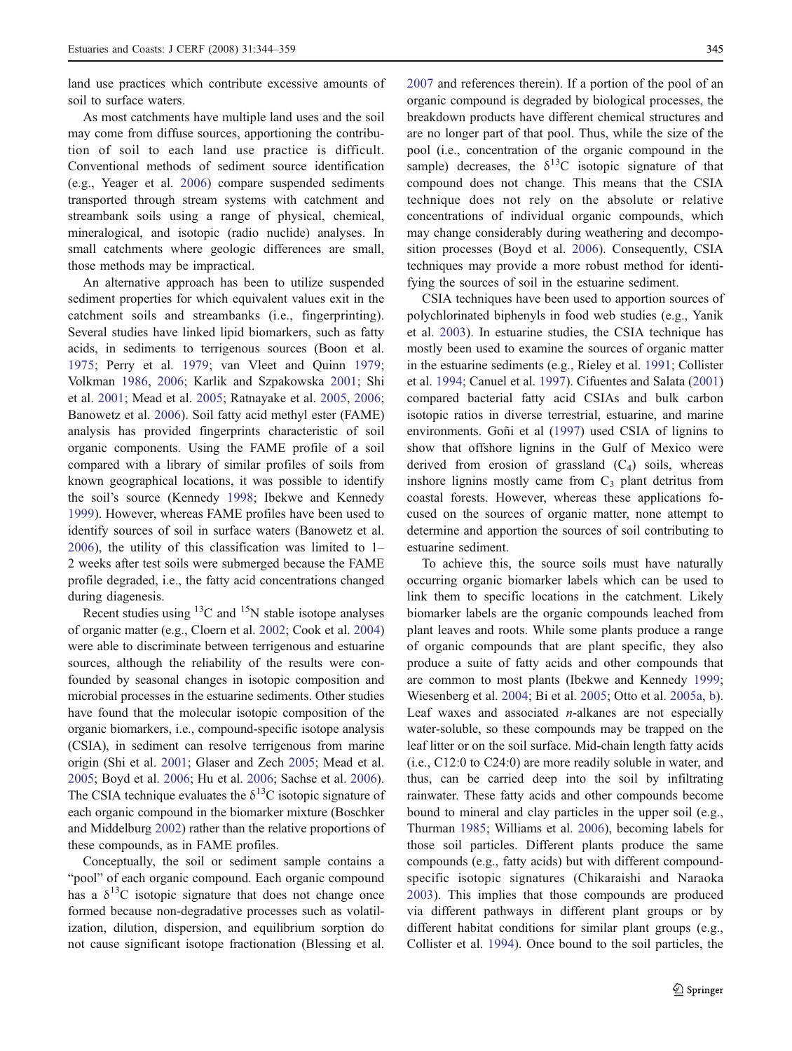land use practices which contribute excessive amounts of soil to surface waters.

As most catchments have multiple land uses and the soil may come from diffuse sources, apportioning the contribution of soil to each land use practice is difficult. Conventional methods of sediment source identification (e.g., Yeager et al. [2006\)](#page-15-0) compare suspended sediments transported through stream systems with catchment and streambank soils using a range of physical, chemical, mineralogical, and isotopic (radio nuclide) analyses. In small catchments where geologic differences are small, those methods may be impractical.

An alternative approach has been to utilize suspended sediment properties for which equivalent values exit in the catchment soils and streambanks (i.e., fingerprinting). Several studies have linked lipid biomarkers, such as fatty acids, in sediments to terrigenous sources (Boon et al. [1975](#page-13-0); Perry et al. [1979](#page-15-0); van Vleet and Quinn [1979](#page-15-0); Volkman [1986](#page-15-0), [2006](#page-15-0); Karlik and Szpakowska [2001;](#page-14-0) Shi et al. [2001;](#page-15-0) Mead et al. [2005;](#page-14-0) Ratnayake et al. [2005,](#page-15-0) [2006](#page-15-0); Banowetz et al. [2006](#page-13-0)). Soil fatty acid methyl ester (FAME) analysis has provided fingerprints characteristic of soil organic components. Using the FAME profile of a soil compared with a library of similar profiles of soils from known geographical locations, it was possible to identify the soil's source (Kennedy [1998;](#page-14-0) Ibekwe and Kennedy [1999](#page-14-0)). However, whereas FAME profiles have been used to identify sources of soil in surface waters (Banowetz et al. [2006](#page-13-0)), the utility of this classification was limited to 1– 2 weeks after test soils were submerged because the FAME profile degraded, i.e., the fatty acid concentrations changed during diagenesis.

Recent studies using  ${}^{13}$ C and  ${}^{15}$ N stable isotope analyses of organic matter (e.g., Cloern et al. [2002;](#page-14-0) Cook et al. [2004\)](#page-14-0) were able to discriminate between terrigenous and estuarine sources, although the reliability of the results were confounded by seasonal changes in isotopic composition and microbial processes in the estuarine sediments. Other studies have found that the molecular isotopic composition of the organic biomarkers, i.e., compound-specific isotope analysis (CSIA), in sediment can resolve terrigenous from marine origin (Shi et al. [2001](#page-15-0); Glaser and Zech [2005;](#page-14-0) Mead et al. [2005;](#page-14-0) Boyd et al. [2006;](#page-13-0) Hu et al. [2006;](#page-14-0) Sachse et al. [2006](#page-15-0)). The CSIA technique evaluates the  $\delta^{13}$ C isotopic signature of each organic compound in the biomarker mixture (Boschker and Middelburg [2002](#page-13-0)) rather than the relative proportions of these compounds, as in FAME profiles.

Conceptually, the soil or sediment sample contains a "pool" of each organic compound. Each organic compound has a  $\delta^{13}$ C isotopic signature that does not change once formed because non-degradative processes such as volatilization, dilution, dispersion, and equilibrium sorption do not cause significant isotope fractionation (Blessing et al.

[2007](#page-13-0) and references therein). If a portion of the pool of an organic compound is degraded by biological processes, the breakdown products have different chemical structures and are no longer part of that pool. Thus, while the size of the pool (i.e., concentration of the organic compound in the sample) decreases, the  $\delta^{13}$ C isotopic signature of that compound does not change. This means that the CSIA technique does not rely on the absolute or relative concentrations of individual organic compounds, which may change considerably during weathering and decomposition processes (Boyd et al. [2006](#page-13-0)). Consequently, CSIA techniques may provide a more robust method for identifying the sources of soil in the estuarine sediment.

CSIA techniques have been used to apportion sources of polychlorinated biphenyls in food web studies (e.g., Yanik et al. [2003\)](#page-15-0). In estuarine studies, the CSIA technique has mostly been used to examine the sources of organic matter in the estuarine sediments (e.g., Rieley et al. [1991;](#page-15-0) Collister et al. [1994;](#page-14-0) Canuel et al. [1997\)](#page-13-0). Cifuentes and Salata [\(2001](#page-14-0)) compared bacterial fatty acid CSIAs and bulk carbon isotopic ratios in diverse terrestrial, estuarine, and marine environments. Goñi et al [\(1997\)](#page-14-0) used CSIA of lignins to show that offshore lignins in the Gulf of Mexico were derived from erosion of grassland  $(C_4)$  soils, whereas inshore lignins mostly came from  $C_3$  plant detritus from coastal forests. However, whereas these applications focused on the sources of organic matter, none attempt to determine and apportion the sources of soil contributing to estuarine sediment.

To achieve this, the source soils must have naturally occurring organic biomarker labels which can be used to link them to specific locations in the catchment. Likely biomarker labels are the organic compounds leached from plant leaves and roots. While some plants produce a range of organic compounds that are plant specific, they also produce a suite of fatty acids and other compounds that are common to most plants (Ibekwe and Kennedy [1999;](#page-14-0) Wiesenberg et al. [2004](#page-15-0); Bi et al. [2005;](#page-13-0) Otto et al. [2005a](#page-15-0), [b\)](#page-15-0). Leaf waxes and associated  $n$ -alkanes are not especially water-soluble, so these compounds may be trapped on the leaf litter or on the soil surface. Mid-chain length fatty acids (i.e., C12:0 to C24:0) are more readily soluble in water, and thus, can be carried deep into the soil by infiltrating rainwater. These fatty acids and other compounds become bound to mineral and clay particles in the upper soil (e.g., Thurman [1985;](#page-15-0) Williams et al. [2006\)](#page-15-0), becoming labels for those soil particles. Different plants produce the same compounds (e.g., fatty acids) but with different compoundspecific isotopic signatures (Chikaraishi and Naraoka [2003](#page-14-0)). This implies that those compounds are produced via different pathways in different plant groups or by different habitat conditions for similar plant groups (e.g., Collister et al. [1994\)](#page-14-0). Once bound to the soil particles, the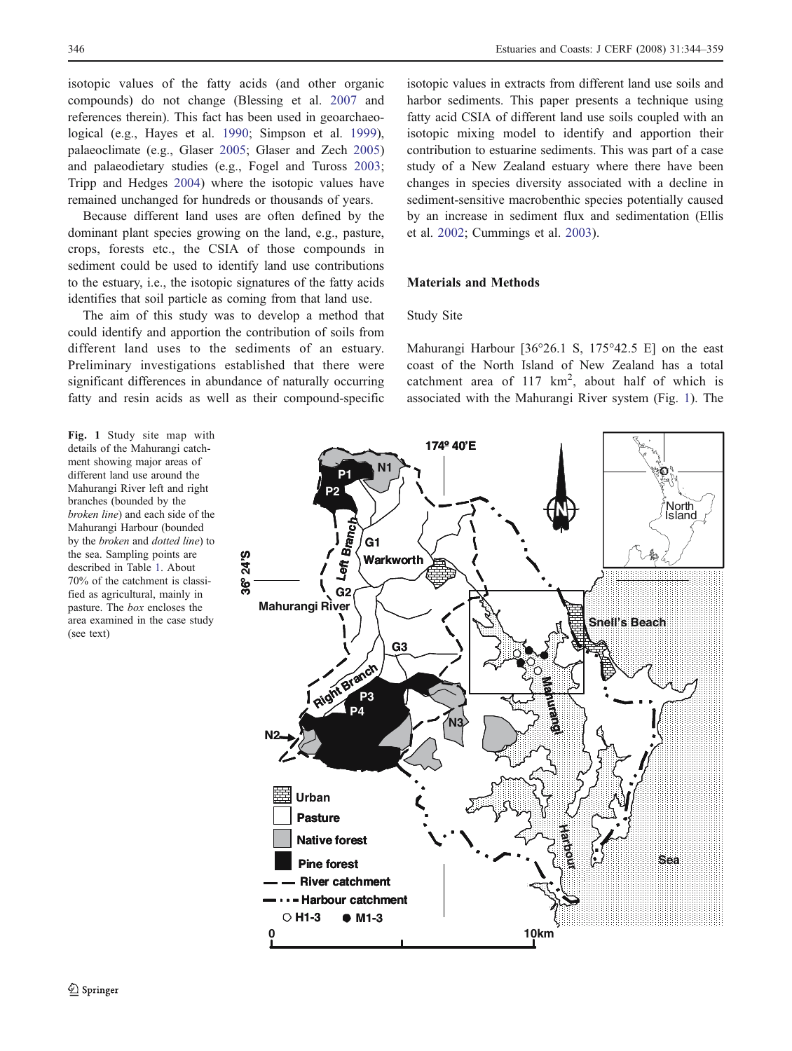<span id="page-2-0"></span>isotopic values of the fatty acids (and other organic compounds) do not change (Blessing et al. [2007](#page-13-0) and references therein). This fact has been used in geoarchaeological (e.g., Hayes et al. [1990](#page-14-0); Simpson et al. [1999](#page-15-0)), palaeoclimate (e.g., Glaser [2005](#page-14-0); Glaser and Zech [2005\)](#page-14-0) and palaeodietary studies (e.g., Fogel and Tuross [2003](#page-14-0); Tripp and Hedges [2004\)](#page-15-0) where the isotopic values have remained unchanged for hundreds or thousands of years.

Because different land uses are often defined by the dominant plant species growing on the land, e.g., pasture, crops, forests etc., the CSIA of those compounds in sediment could be used to identify land use contributions to the estuary, i.e., the isotopic signatures of the fatty acids identifies that soil particle as coming from that land use.

The aim of this study was to develop a method that could identify and apportion the contribution of soils from different land uses to the sediments of an estuary. Preliminary investigations established that there were significant differences in abundance of naturally occurring fatty and resin acids as well as their compound-specific

Fig. 1 Study site map with details of the Mahurangi catchment showing major areas of different land use around the Mahurangi River left and right branches (bounded by the broken line) and each side of the Mahurangi Harbour (bounded by the broken and dotted line) to the sea. Sampling points are described in Table [1.](#page-3-0) About 70% of the catchment is classified as agricultural, mainly in pasture. The box encloses the area examined in the case study (see text)

isotopic values in extracts from different land use soils and harbor sediments. This paper presents a technique using fatty acid CSIA of different land use soils coupled with an isotopic mixing model to identify and apportion their contribution to estuarine sediments. This was part of a case study of a New Zealand estuary where there have been changes in species diversity associated with a decline in sediment-sensitive macrobenthic species potentially caused by an increase in sediment flux and sedimentation (Ellis et al. [2002](#page-14-0); Cummings et al. [2003](#page-14-0)).

# Materials and Methods

#### Study Site

Mahurangi Harbour [36°26.1 S, 175°42.5 E] on the east coast of the North Island of New Zealand has a total catchment area of  $117 \text{ km}^2$ , about half of which is associated with the Mahurangi River system (Fig. 1). The

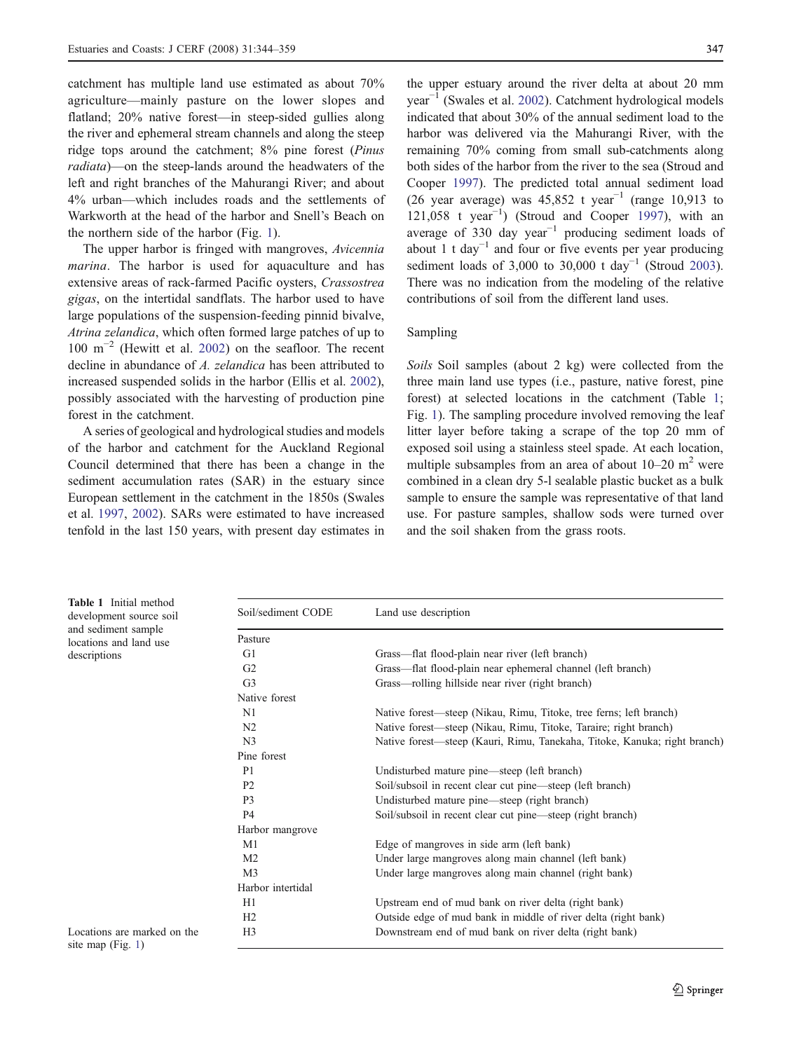<span id="page-3-0"></span>catchment has multiple land use estimated as about 70% agriculture—mainly pasture on the lower slopes and flatland; 20% native forest—in steep-sided gullies along the river and ephemeral stream channels and along the steep ridge tops around the catchment; 8% pine forest (Pinus radiata)—on the steep-lands around the headwaters of the left and right branches of the Mahurangi River; and about 4% urban—which includes roads and the settlements of Warkworth at the head of the harbor and Snell's Beach on the northern side of the harbor (Fig. [1](#page-2-0)).

The upper harbor is fringed with mangroves, Avicennia marina. The harbor is used for aquaculture and has extensive areas of rack-farmed Pacific oysters, Crassostrea gigas, on the intertidal sandflats. The harbor used to have large populations of the suspension-feeding pinnid bivalve, Atrina zelandica, which often formed large patches of up to  $100 \text{ m}^{-2}$  (Hewitt et al. [2002\)](#page-14-0) on the seafloor. The recent decline in abundance of A. zelandica has been attributed to increased suspended solids in the harbor (Ellis et al. [2002](#page-14-0)), possibly associated with the harvesting of production pine forest in the catchment.

A series of geological and hydrological studies and models of the harbor and catchment for the Auckland Regional Council determined that there has been a change in the sediment accumulation rates (SAR) in the estuary since European settlement in the catchment in the 1850s (Swales et al. [1997](#page-15-0), [2002](#page-15-0)). SARs were estimated to have increased tenfold in the last 150 years, with present day estimates in

the upper estuary around the river delta at about 20 mm year−<sup>1</sup> (Swales et al. [2002\)](#page-15-0). Catchment hydrological models indicated that about 30% of the annual sediment load to the harbor was delivered via the Mahurangi River, with the remaining 70% coming from small sub-catchments along both sides of the harbor from the river to the sea (Stroud and Cooper [1997](#page-15-0)). The predicted total annual sediment load (26 year average) was 45,852 t year<sup>-1</sup> (range 10,913 to 121,058 t year−<sup>1</sup> ) (Stroud and Cooper [1997](#page-15-0)), with an average of 330 day year<sup>-1</sup> producing sediment loads of about 1 t day<sup> $-1$ </sup> and four or five events per year producing sediment loads of 3,000 to 30,000 t day<sup>-1</sup> (Stroud [2003\)](#page-15-0). There was no indication from the modeling of the relative contributions of soil from the different land uses.

# Sampling

Soils Soil samples (about 2 kg) were collected from the three main land use types (i.e., pasture, native forest, pine forest) at selected locations in the catchment (Table 1; Fig. [1](#page-2-0)). The sampling procedure involved removing the leaf litter layer before taking a scrape of the top 20 mm of exposed soil using a stainless steel spade. At each location, multiple subsamples from an area of about  $10-20$  m<sup>2</sup> were combined in a clean dry 5-l sealable plastic bucket as a bulk sample to ensure the sample was representative of that land use. For pasture samples, shallow sods were turned over and the soil shaken from the grass roots.

|                     | Table 1 Initial method  |  |  |  |  |  |  |  |
|---------------------|-------------------------|--|--|--|--|--|--|--|
|                     | development source soil |  |  |  |  |  |  |  |
| and sediment sample |                         |  |  |  |  |  |  |  |
|                     | locations and land use  |  |  |  |  |  |  |  |
| descriptions        |                         |  |  |  |  |  |  |  |

| Soil/sediment CODE | Land use description                                                      |
|--------------------|---------------------------------------------------------------------------|
| Pasture            |                                                                           |
| G1                 | Grass—flat flood-plain near river (left branch)                           |
| G <sub>2</sub>     | Grass-flat flood-plain near ephemeral channel (left branch)               |
| G <sub>3</sub>     | Grass—rolling hillside near river (right branch)                          |
| Native forest      |                                                                           |
| N1                 | Native forest—steep (Nikau, Rimu, Titoke, tree ferns; left branch)        |
| N <sub>2</sub>     | Native forest—steep (Nikau, Rimu, Titoke, Taraire; right branch)          |
| N <sub>3</sub>     | Native forest—steep (Kauri, Rimu, Tanekaha, Titoke, Kanuka; right branch) |
| Pine forest        |                                                                           |
| P1                 | Undisturbed mature pine—steep (left branch)                               |
| P <sub>2</sub>     | Soil/subsoil in recent clear cut pine—steep (left branch)                 |
| P <sub>3</sub>     | Undisturbed mature pine—steep (right branch)                              |
| P <sub>4</sub>     | Soil/subsoil in recent clear cut pine—steep (right branch)                |
| Harbor mangrove    |                                                                           |
| M1                 | Edge of mangroves in side arm (left bank)                                 |
| M <sub>2</sub>     | Under large mangroves along main channel (left bank)                      |
| M <sub>3</sub>     | Under large mangroves along main channel (right bank)                     |
| Harbor intertidal  |                                                                           |
| H1                 | Upstream end of mud bank on river delta (right bank)                      |
| H <sub>2</sub>     | Outside edge of mud bank in middle of river delta (right bank)            |
| H <sub>3</sub>     | Downstream end of mud bank on river delta (right bank)                    |

Locations are marked on the site map (Fig. [1\)](#page-2-0)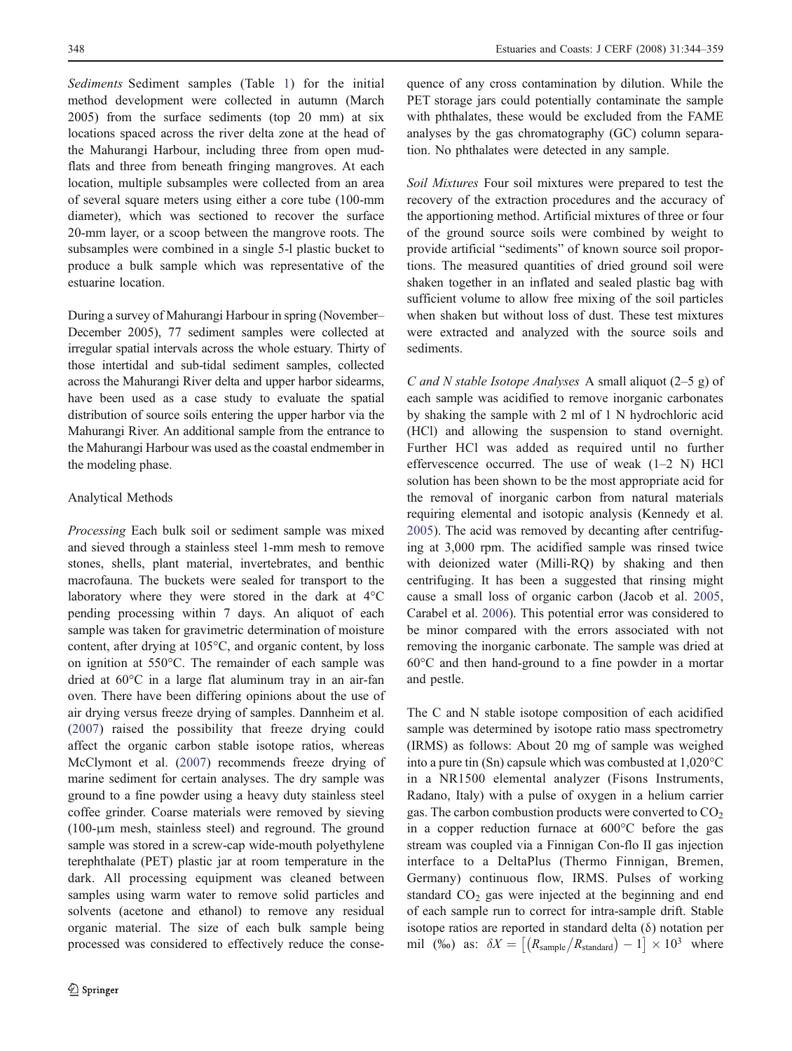Sediments Sediment samples (Table [1](#page-3-0)) for the initial method development were collected in autumn (March 2005) from the surface sediments (top 20 mm) at six locations spaced across the river delta zone at the head of the Mahurangi Harbour, including three from open mudflats and three from beneath fringing mangroves. At each location, multiple subsamples were collected from an area of several square meters using either a core tube (100-mm diameter), which was sectioned to recover the surface 20-mm layer, or a scoop between the mangrove roots. The subsamples were combined in a single 5-l plastic bucket to produce a bulk sample which was representative of the estuarine location.

During a survey of Mahurangi Harbour in spring (November– December 2005), 77 sediment samples were collected at irregular spatial intervals across the whole estuary. Thirty of those intertidal and sub-tidal sediment samples, collected across the Mahurangi River delta and upper harbor sidearms, have been used as a case study to evaluate the spatial distribution of source soils entering the upper harbor via the Mahurangi River. An additional sample from the entrance to the Mahurangi Harbour was used as the coastal endmember in the modeling phase.

# Analytical Methods

Processing Each bulk soil or sediment sample was mixed and sieved through a stainless steel 1-mm mesh to remove stones, shells, plant material, invertebrates, and benthic macrofauna. The buckets were sealed for transport to the laboratory where they were stored in the dark at 4°C pending processing within 7 days. An aliquot of each sample was taken for gravimetric determination of moisture content, after drying at 105°C, and organic content, by loss on ignition at 550°C. The remainder of each sample was dried at 60°C in a large flat aluminum tray in an air-fan oven. There have been differing opinions about the use of air drying versus freeze drying of samples. Dannheim et al. [\(2007\)](#page-14-0) raised the possibility that freeze drying could affect the organic carbon stable isotope ratios, whereas McClymont et al. [\(2007](#page-14-0)) recommends freeze drying of marine sediment for certain analyses. The dry sample was ground to a fine powder using a heavy duty stainless steel coffee grinder. Coarse materials were removed by sieving (100-μm mesh, stainless steel) and reground. The ground sample was stored in a screw-cap wide-mouth polyethylene terephthalate (PET) plastic jar at room temperature in the dark. All processing equipment was cleaned between samples using warm water to remove solid particles and solvents (acetone and ethanol) to remove any residual organic material. The size of each bulk sample being processed was considered to effectively reduce the consequence of any cross contamination by dilution. While the PET storage jars could potentially contaminate the sample with phthalates, these would be excluded from the FAME analyses by the gas chromatography (GC) column separation. No phthalates were detected in any sample.

Soil Mixtures Four soil mixtures were prepared to test the recovery of the extraction procedures and the accuracy of the apportioning method. Artificial mixtures of three or four of the ground source soils were combined by weight to provide artificial "sediments" of known source soil proportions. The measured quantities of dried ground soil were shaken together in an inflated and sealed plastic bag with sufficient volume to allow free mixing of the soil particles when shaken but without loss of dust. These test mixtures were extracted and analyzed with the source soils and sediments.

C and N stable Isotope Analyses A small aliquot (2–5 g) of each sample was acidified to remove inorganic carbonates by shaking the sample with 2 ml of 1 N hydrochloric acid (HCl) and allowing the suspension to stand overnight. Further HCl was added as required until no further effervescence occurred. The use of weak (1–2 N) HCl solution has been shown to be the most appropriate acid for the removal of inorganic carbon from natural materials requiring elemental and isotopic analysis (Kennedy et al. [2005](#page-14-0)). The acid was removed by decanting after centrifuging at 3,000 rpm. The acidified sample was rinsed twice with deionized water (Milli-RQ) by shaking and then centrifuging. It has been a suggested that rinsing might cause a small loss of organic carbon (Jacob et al. [2005,](#page-14-0) Carabel et al. [2006\)](#page-13-0). This potential error was considered to be minor compared with the errors associated with not removing the inorganic carbonate. The sample was dried at 60°C and then hand-ground to a fine powder in a mortar and pestle.

The C and N stable isotope composition of each acidified sample was determined by isotope ratio mass spectrometry (IRMS) as follows: About 20 mg of sample was weighed into a pure tin (Sn) capsule which was combusted at 1,020°C in a NR1500 elemental analyzer (Fisons Instruments, Radano, Italy) with a pulse of oxygen in a helium carrier gas. The carbon combustion products were converted to  $CO<sub>2</sub>$ in a copper reduction furnace at 600°C before the gas stream was coupled via a Finnigan Con-flo II gas injection interface to a DeltaPlus (Thermo Finnigan, Bremen, Germany) continuous flow, IRMS. Pulses of working standard  $CO<sub>2</sub>$  gas were injected at the beginning and end of each sample run to correct for intra-sample drift. Stable isotope ratios are reported in standard delta (δ) notation per mil (‰) as:  $\delta X = [(R_{\text{sample}}/R_{\text{standard}}) - 1] \times 10^3$  where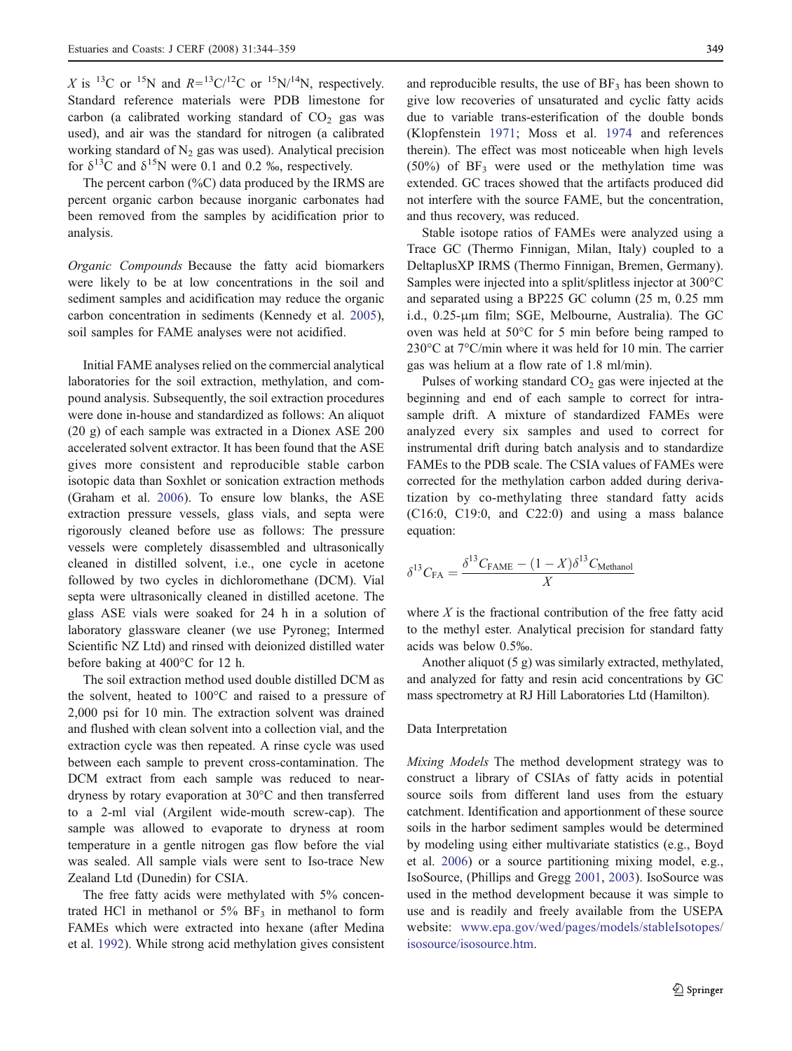X is <sup>13</sup>C or <sup>15</sup>N and  $R=$ <sup>13</sup>C/<sup>12</sup>C or <sup>15</sup>N/<sup>14</sup>N, respectively. Standard reference materials were PDB limestone for carbon (a calibrated working standard of  $CO<sub>2</sub>$  gas was used), and air was the standard for nitrogen (a calibrated working standard of  $N_2$  gas was used). Analytical precision for  $\delta^{13}$ C and  $\delta^{15}$ N were 0.1 and 0.2 ‰, respectively.

The percent carbon (%C) data produced by the IRMS are percent organic carbon because inorganic carbonates had been removed from the samples by acidification prior to analysis.

Organic Compounds Because the fatty acid biomarkers were likely to be at low concentrations in the soil and sediment samples and acidification may reduce the organic carbon concentration in sediments (Kennedy et al. [2005](#page-14-0)), soil samples for FAME analyses were not acidified.

Initial FAME analyses relied on the commercial analytical laboratories for the soil extraction, methylation, and compound analysis. Subsequently, the soil extraction procedures were done in-house and standardized as follows: An aliquot (20 g) of each sample was extracted in a Dionex ASE 200 accelerated solvent extractor. It has been found that the ASE gives more consistent and reproducible stable carbon isotopic data than Soxhlet or sonication extraction methods (Graham et al. [2006](#page-14-0)). To ensure low blanks, the ASE extraction pressure vessels, glass vials, and septa were rigorously cleaned before use as follows: The pressure vessels were completely disassembled and ultrasonically cleaned in distilled solvent, i.e., one cycle in acetone followed by two cycles in dichloromethane (DCM). Vial septa were ultrasonically cleaned in distilled acetone. The glass ASE vials were soaked for 24 h in a solution of laboratory glassware cleaner (we use Pyroneg; Intermed Scientific NZ Ltd) and rinsed with deionized distilled water before baking at 400°C for 12 h.

The soil extraction method used double distilled DCM as the solvent, heated to 100°C and raised to a pressure of 2,000 psi for 10 min. The extraction solvent was drained and flushed with clean solvent into a collection vial, and the extraction cycle was then repeated. A rinse cycle was used between each sample to prevent cross-contamination. The DCM extract from each sample was reduced to neardryness by rotary evaporation at 30°C and then transferred to a 2-ml vial (Argilent wide-mouth screw-cap). The sample was allowed to evaporate to dryness at room temperature in a gentle nitrogen gas flow before the vial was sealed. All sample vials were sent to Iso-trace New Zealand Ltd (Dunedin) for CSIA.

The free fatty acids were methylated with 5% concentrated HCl in methanol or  $5\%$  BF<sub>3</sub> in methanol to form FAMEs which were extracted into hexane (after Medina et al. [1992](#page-14-0)). While strong acid methylation gives consistent

and reproducible results, the use of  $BF_3$  has been shown to give low recoveries of unsaturated and cyclic fatty acids due to variable trans-esterification of the double bonds (Klopfenstein [1971](#page-14-0); Moss et al. [1974](#page-14-0) and references therein). The effect was most noticeable when high levels  $(50\%)$  of BF<sub>3</sub> were used or the methylation time was extended. GC traces showed that the artifacts produced did not interfere with the source FAME, but the concentration, and thus recovery, was reduced.

Stable isotope ratios of FAMEs were analyzed using a Trace GC (Thermo Finnigan, Milan, Italy) coupled to a DeltaplusXP IRMS (Thermo Finnigan, Bremen, Germany). Samples were injected into a split/splitless injector at 300°C and separated using a BP225 GC column (25 m, 0.25 mm i.d., 0.25-μm film; SGE, Melbourne, Australia). The GC oven was held at 50°C for 5 min before being ramped to 230°C at 7°C/min where it was held for 10 min. The carrier gas was helium at a flow rate of 1.8 ml/min).

Pulses of working standard  $CO<sub>2</sub>$  gas were injected at the beginning and end of each sample to correct for intrasample drift. A mixture of standardized FAMEs were analyzed every six samples and used to correct for instrumental drift during batch analysis and to standardize FAMEs to the PDB scale. The CSIA values of FAMEs were corrected for the methylation carbon added during derivatization by co-methylating three standard fatty acids (C16:0, C19:0, and C22:0) and using a mass balance equation:

$$
\delta^{13}C_{\text{FA}} = \frac{\delta^{13}C_{\text{FAME}} - (1 - X)\delta^{13}C_{\text{Method}}}{X}
$$

where  $X$  is the fractional contribution of the free fatty acid to the methyl ester. Analytical precision for standard fatty acids was below 0.5‰.

Another aliquot (5 g) was similarly extracted, methylated, and analyzed for fatty and resin acid concentrations by GC mass spectrometry at RJ Hill Laboratories Ltd (Hamilton).

#### Data Interpretation

Mixing Models The method development strategy was to construct a library of CSIAs of fatty acids in potential source soils from different land uses from the estuary catchment. Identification and apportionment of these source soils in the harbor sediment samples would be determined by modeling using either multivariate statistics (e.g., Boyd et al. [2006](#page-13-0)) or a source partitioning mixing model, e.g., IsoSource, (Phillips and Gregg [2001](#page-15-0), [2003\)](#page-15-0). IsoSource was used in the method development because it was simple to use and is readily and freely available from the USEPA website: [www.epa.gov/wed/pages/models/stableIsotopes/](http://www.epa.gov/wed/pages/models/stableIsotopes/isosource/isosource.htm) [isosource/isosource.htm](http://www.epa.gov/wed/pages/models/stableIsotopes/isosource/isosource.htm).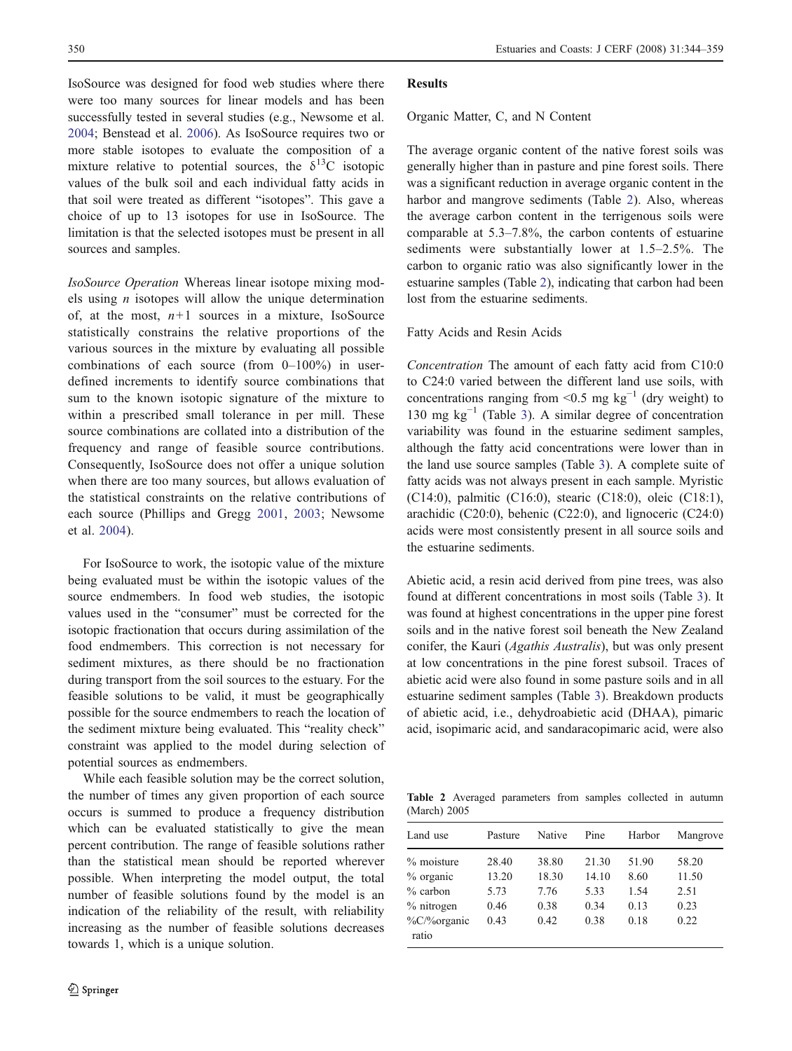<span id="page-6-0"></span>IsoSource was designed for food web studies where there were too many sources for linear models and has been successfully tested in several studies (e.g., Newsome et al. [2004](#page-14-0); Benstead et al. [2006\)](#page-13-0). As IsoSource requires two or more stable isotopes to evaluate the composition of a mixture relative to potential sources, the  $\delta^{13}$ C isotopic values of the bulk soil and each individual fatty acids in that soil were treated as different "isotopes". This gave a choice of up to 13 isotopes for use in IsoSource. The limitation is that the selected isotopes must be present in all sources and samples.

IsoSource Operation Whereas linear isotope mixing models using  $n$  isotopes will allow the unique determination of, at the most,  $n+1$  sources in a mixture, IsoSource statistically constrains the relative proportions of the various sources in the mixture by evaluating all possible combinations of each source (from  $0-100\%$ ) in userdefined increments to identify source combinations that sum to the known isotopic signature of the mixture to within a prescribed small tolerance in per mill. These source combinations are collated into a distribution of the frequency and range of feasible source contributions. Consequently, IsoSource does not offer a unique solution when there are too many sources, but allows evaluation of the statistical constraints on the relative contributions of each source (Phillips and Gregg [2001,](#page-15-0) [2003](#page-15-0); Newsome et al. [2004](#page-14-0)).

For IsoSource to work, the isotopic value of the mixture being evaluated must be within the isotopic values of the source endmembers. In food web studies, the isotopic values used in the "consumer" must be corrected for the isotopic fractionation that occurs during assimilation of the food endmembers. This correction is not necessary for sediment mixtures, as there should be no fractionation during transport from the soil sources to the estuary. For the feasible solutions to be valid, it must be geographically possible for the source endmembers to reach the location of the sediment mixture being evaluated. This "reality check" constraint was applied to the model during selection of potential sources as endmembers.

While each feasible solution may be the correct solution, the number of times any given proportion of each source occurs is summed to produce a frequency distribution which can be evaluated statistically to give the mean percent contribution. The range of feasible solutions rather than the statistical mean should be reported wherever possible. When interpreting the model output, the total number of feasible solutions found by the model is an indication of the reliability of the result, with reliability increasing as the number of feasible solutions decreases towards 1, which is a unique solution.

#### Results

#### Organic Matter, C, and N Content

The average organic content of the native forest soils was generally higher than in pasture and pine forest soils. There was a significant reduction in average organic content in the harbor and mangrove sediments (Table 2). Also, whereas the average carbon content in the terrigenous soils were comparable at 5.3–7.8%, the carbon contents of estuarine sediments were substantially lower at 1.5–2.5%. The carbon to organic ratio was also significantly lower in the estuarine samples (Table 2), indicating that carbon had been lost from the estuarine sediments.

# Fatty Acids and Resin Acids

Concentration The amount of each fatty acid from C10:0 to C24:0 varied between the different land use soils, with concentrations ranging from <0.5 mg kg<sup>-1</sup> (dry weight) to 130 mg kg<sup> $-1$ </sup> (Table [3\)](#page-7-0). A similar degree of concentration variability was found in the estuarine sediment samples, although the fatty acid concentrations were lower than in the land use source samples (Table [3](#page-7-0)). A complete suite of fatty acids was not always present in each sample. Myristic (C14:0), palmitic (C16:0), stearic (C18:0), oleic (C18:1), arachidic (C20:0), behenic (C22:0), and lignoceric (C24:0) acids were most consistently present in all source soils and the estuarine sediments.

Abietic acid, a resin acid derived from pine trees, was also found at different concentrations in most soils (Table [3](#page-7-0)). It was found at highest concentrations in the upper pine forest soils and in the native forest soil beneath the New Zealand conifer, the Kauri (Agathis Australis), but was only present at low concentrations in the pine forest subsoil. Traces of abietic acid were also found in some pasture soils and in all estuarine sediment samples (Table [3](#page-7-0)). Breakdown products of abietic acid, i.e., dehydroabietic acid (DHAA), pimaric acid, isopimaric acid, and sandaracopimaric acid, were also

Table 2 Averaged parameters from samples collected in autumn (March) 2005

| Land use                         | Pasture       | Native        | Pine          | Harbor       | Mangrove      |
|----------------------------------|---------------|---------------|---------------|--------------|---------------|
| $%$ moisture                     | 28.40         | 38.80         | 21.30         | 51.90        | 58.20         |
| $%$ organic<br>$%$ carbon        | 13.20<br>5.73 | 18.30<br>7.76 | 14.10<br>5.33 | 8.60<br>1.54 | 11.50<br>2.51 |
| $%$ nitrogen<br>$\%C/\%$ organic | 0.46<br>0.43  | 0.38<br>0.42  | 0.34<br>0.38  | 0.13<br>0.18 | 0.23<br>0.22  |
| ratio                            |               |               |               |              |               |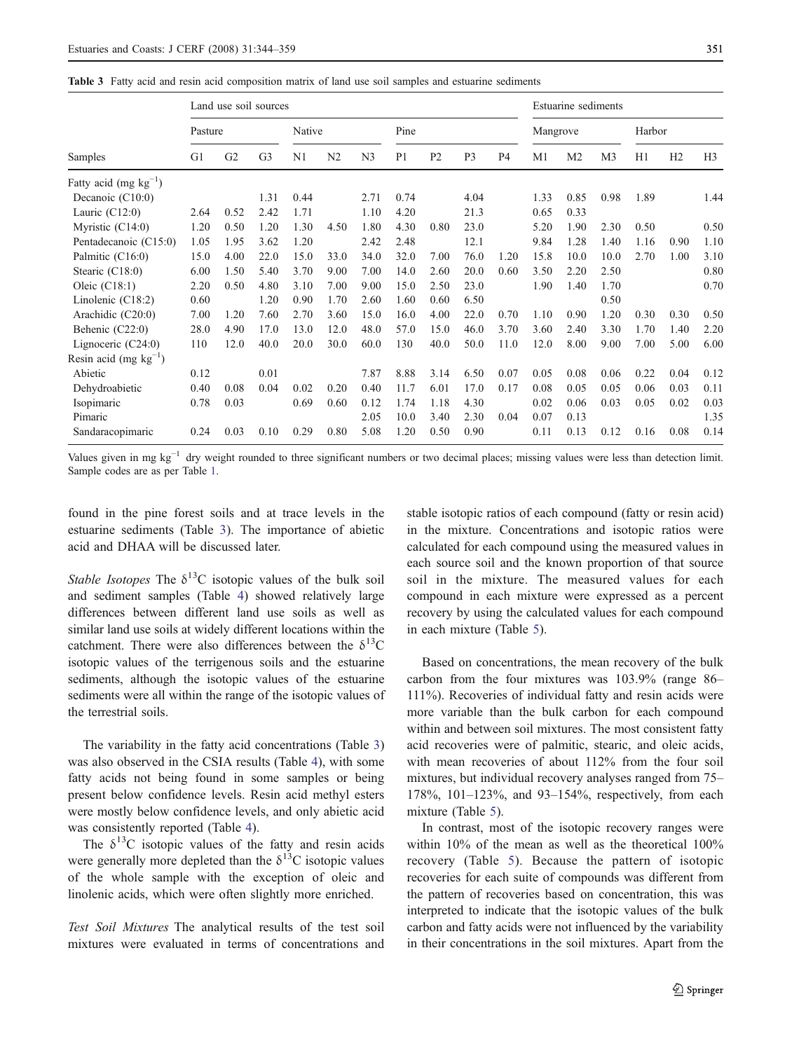<span id="page-7-0"></span>

|  |  |  |  |  |  |  | <b>Table 3</b> Fatty acid and resin acid composition matrix of land use soil samples and estuarine sediments |  |  |  |  |  |  |  |  |  |
|--|--|--|--|--|--|--|--------------------------------------------------------------------------------------------------------------|--|--|--|--|--|--|--|--|--|
|--|--|--|--|--|--|--|--------------------------------------------------------------------------------------------------------------|--|--|--|--|--|--|--|--|--|

|                            |                | Land use soil sources |                |                |                |                |                |                |                |                |          | Estuarine sediments |                |        |      |                |
|----------------------------|----------------|-----------------------|----------------|----------------|----------------|----------------|----------------|----------------|----------------|----------------|----------|---------------------|----------------|--------|------|----------------|
|                            | Pasture        |                       |                | Native         |                |                | Pine           |                |                |                | Mangrove |                     |                | Harbor |      |                |
| Samples                    | G <sub>1</sub> | G2                    | G <sub>3</sub> | N <sub>1</sub> | N <sub>2</sub> | N <sub>3</sub> | P <sub>1</sub> | P <sub>2</sub> | P <sub>3</sub> | P <sub>4</sub> | M1       | M <sub>2</sub>      | M <sub>3</sub> | H1     | H2   | H <sub>3</sub> |
| Fatty acid (mg $kg^{-1}$ ) |                |                       |                |                |                |                |                |                |                |                |          |                     |                |        |      |                |
| Decanoic $(C10:0)$         |                |                       | 1.31           | 0.44           |                | 2.71           | 0.74           |                | 4.04           |                | 1.33     | 0.85                | 0.98           | 1.89   |      | 1.44           |
| Lauric $(C12:0)$           | 2.64           | 0.52                  | 2.42           | 1.71           |                | 1.10           | 4.20           |                | 21.3           |                | 0.65     | 0.33                |                |        |      |                |
| Myristic $(C14:0)$         | 1.20           | 0.50                  | 1.20           | 1.30           | 4.50           | 1.80           | 4.30           | 0.80           | 23.0           |                | 5.20     | 1.90                | 2.30           | 0.50   |      | 0.50           |
| Pentadecanoic (C15:0)      | 1.05           | 1.95                  | 3.62           | 1.20           |                | 2.42           | 2.48           |                | 12.1           |                | 9.84     | 1.28                | 1.40           | 1.16   | 0.90 | 1.10           |
| Palmitic (C16:0)           | 15.0           | 4.00                  | 22.0           | 15.0           | 33.0           | 34.0           | 32.0           | 7.00           | 76.0           | 1.20           | 15.8     | 10.0                | 10.0           | 2.70   | 1.00 | 3.10           |
| Stearic $(C18:0)$          | 6.00           | 1.50                  | 5.40           | 3.70           | 9.00           | 7.00           | 14.0           | 2.60           | 20.0           | 0.60           | 3.50     | 2.20                | 2.50           |        |      | 0.80           |
| Oleic $(C18:1)$            | 2.20           | 0.50                  | 4.80           | 3.10           | 7.00           | 9.00           | 15.0           | 2.50           | 23.0           |                | 1.90     | 1.40                | 1.70           |        |      | 0.70           |
| Linolenic $(C18:2)$        | 0.60           |                       | 1.20           | 0.90           | 1.70           | 2.60           | 1.60           | 0.60           | 6.50           |                |          |                     | 0.50           |        |      |                |
| Arachidic (C20:0)          | 7.00           | 1.20                  | 7.60           | 2.70           | 3.60           | 15.0           | 16.0           | 4.00           | 22.0           | 0.70           | 1.10     | 0.90                | 1.20           | 0.30   | 0.30 | 0.50           |
| Behenic (C22:0)            | 28.0           | 4.90                  | 17.0           | 13.0           | 12.0           | 48.0           | 57.0           | 15.0           | 46.0           | 3.70           | 3.60     | 2.40                | 3.30           | 1.70   | 1.40 | 2.20           |
| Lignoceric $(C24:0)$       | 110            | 12.0                  | 40.0           | 20.0           | 30.0           | 60.0           | 130            | 40.0           | 50.0           | 11.0           | 12.0     | 8.00                | 9.00           | 7.00   | 5.00 | 6.00           |
| Resin acid (mg $kg^{-1}$ ) |                |                       |                |                |                |                |                |                |                |                |          |                     |                |        |      |                |
| Abietic                    | 0.12           |                       | 0.01           |                |                | 7.87           | 8.88           | 3.14           | 6.50           | 0.07           | 0.05     | 0.08                | 0.06           | 0.22   | 0.04 | 0.12           |
| Dehydroabietic             | 0.40           | 0.08                  | 0.04           | 0.02           | 0.20           | 0.40           | 11.7           | 6.01           | 17.0           | 0.17           | 0.08     | 0.05                | 0.05           | 0.06   | 0.03 | 0.11           |
| Isopimaric                 | 0.78           | 0.03                  |                | 0.69           | 0.60           | 0.12           | 1.74           | 1.18           | 4.30           |                | 0.02     | 0.06                | 0.03           | 0.05   | 0.02 | 0.03           |
| Pimaric                    |                |                       |                |                |                | 2.05           | 10.0           | 3.40           | 2.30           | 0.04           | 0.07     | 0.13                |                |        |      | 1.35           |
| Sandaracopimaric           | 0.24           | 0.03                  | 0.10           | 0.29           | 0.80           | 5.08           | 1.20           | 0.50           | 0.90           |                | 0.11     | 0.13                | 0.12           | 0.16   | 0.08 | 0.14           |

Values given in mg kg<sup>-1</sup> dry weight rounded to three significant numbers or two decimal places; missing values were less than detection limit. Sample codes are as per Table [1.](#page-3-0)

found in the pine forest soils and at trace levels in the estuarine sediments (Table 3). The importance of abietic acid and DHAA will be discussed later.

Stable Isotopes The  $\delta^{13}$ C isotopic values of the bulk soil and sediment samples (Table [4\)](#page-8-0) showed relatively large differences between different land use soils as well as similar land use soils at widely different locations within the catchment. There were also differences between the  $\delta^{13}$ C isotopic values of the terrigenous soils and the estuarine sediments, although the isotopic values of the estuarine sediments were all within the range of the isotopic values of the terrestrial soils.

The variability in the fatty acid concentrations (Table 3) was also observed in the CSIA results (Table [4](#page-8-0)), with some fatty acids not being found in some samples or being present below confidence levels. Resin acid methyl esters were mostly below confidence levels, and only abietic acid was consistently reported (Table [4\)](#page-8-0).

The  $\delta^{13}$ C isotopic values of the fatty and resin acids were generally more depleted than the  $\delta^{13}$ C isotopic values of the whole sample with the exception of oleic and linolenic acids, which were often slightly more enriched.

Test Soil Mixtures The analytical results of the test soil mixtures were evaluated in terms of concentrations and stable isotopic ratios of each compound (fatty or resin acid) in the mixture. Concentrations and isotopic ratios were calculated for each compound using the measured values in each source soil and the known proportion of that source soil in the mixture. The measured values for each compound in each mixture were expressed as a percent recovery by using the calculated values for each compound in each mixture (Table [5\)](#page-9-0).

Based on concentrations, the mean recovery of the bulk carbon from the four mixtures was 103.9% (range 86– 111%). Recoveries of individual fatty and resin acids were more variable than the bulk carbon for each compound within and between soil mixtures. The most consistent fatty acid recoveries were of palmitic, stearic, and oleic acids, with mean recoveries of about 112% from the four soil mixtures, but individual recovery analyses ranged from 75– 178%, 101–123%, and 93–154%, respectively, from each mixture (Table [5](#page-9-0)).

In contrast, most of the isotopic recovery ranges were within 10% of the mean as well as the theoretical 100% recovery (Table [5](#page-9-0)). Because the pattern of isotopic recoveries for each suite of compounds was different from the pattern of recoveries based on concentration, this was interpreted to indicate that the isotopic values of the bulk carbon and fatty acids were not influenced by the variability in their concentrations in the soil mixtures. Apart from the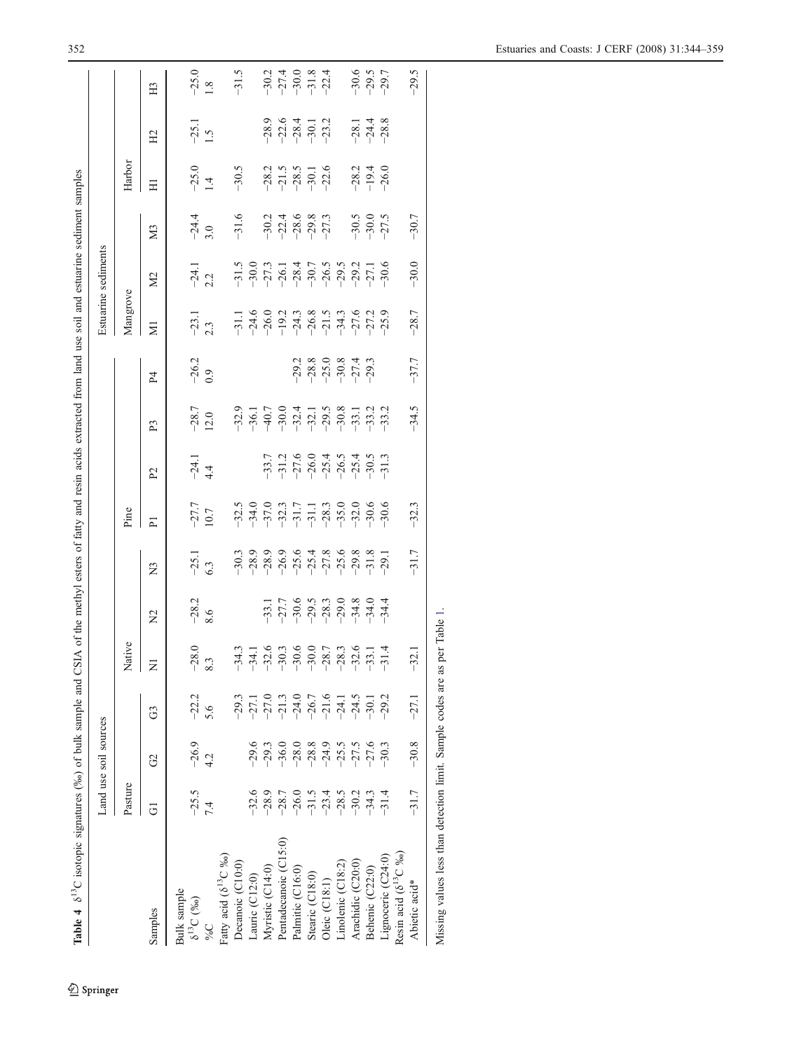<span id="page-8-0"></span>

|                                                       |                    | Land use soil sources |                                                         |                                          |                                                             |                                                                          |                                                                                      |                |                 |                                                  |                                                                                                                                                                                                                                                                                                                                                  | Estuarine sediments |                               |                                                     |                                          |                                          |
|-------------------------------------------------------|--------------------|-----------------------|---------------------------------------------------------|------------------------------------------|-------------------------------------------------------------|--------------------------------------------------------------------------|--------------------------------------------------------------------------------------|----------------|-----------------|--------------------------------------------------|--------------------------------------------------------------------------------------------------------------------------------------------------------------------------------------------------------------------------------------------------------------------------------------------------------------------------------------------------|---------------------|-------------------------------|-----------------------------------------------------|------------------------------------------|------------------------------------------|
|                                                       | Pasture            |                       |                                                         | Native                                   |                                                             |                                                                          | Pine                                                                                 |                |                 |                                                  | Mangrove                                                                                                                                                                                                                                                                                                                                         |                     |                               | Harbor                                              |                                          |                                          |
| Samples                                               | $\overline{G}$     | G <sub>2</sub>        | යි                                                      | $\overline{z}$                           | $\Sigma$                                                    | $\overline{R}$                                                           | $\overline{P}$                                                                       | P <sub>2</sub> | P <sub>3</sub>  | P <sub>4</sub>                                   | $\overline{\mathbf{z}}$                                                                                                                                                                                                                                                                                                                          | M <sub>2</sub>      | M <sub>3</sub>                | 田                                                   | H <sub>2</sub>                           | H <sub>3</sub>                           |
| Bulk sample                                           |                    |                       |                                                         |                                          |                                                             |                                                                          |                                                                                      |                |                 |                                                  |                                                                                                                                                                                                                                                                                                                                                  |                     |                               |                                                     |                                          |                                          |
| $\delta^{13}C$ (%)                                    | $-25.5$            | $-26.9$               | $-22.2$                                                 | $-28.0$                                  | $-28.2$<br>8.6                                              | $-25.1$<br>6.3                                                           | $-27.7$<br>10.7                                                                      | $-24.1$<br>4.4 | $-28.7$<br>12.0 | $-26.2$<br>0.9                                   | $-23.1$<br>2.3                                                                                                                                                                                                                                                                                                                                   | $-24.1$<br>2.2      | $-24.4$<br>3.0                | $-25.0$<br>1.4                                      | $-25.1$<br>1.5                           | $-25.0$<br>1.8                           |
| $\frac{6}{6}$                                         | 7.4                | 4.2                   | 5.6                                                     | 8.3                                      |                                                             |                                                                          |                                                                                      |                |                 |                                                  |                                                                                                                                                                                                                                                                                                                                                  |                     |                               |                                                     |                                          |                                          |
| Fatty acid $(\delta^{13}\rm C~\%)$                    |                    |                       |                                                         |                                          |                                                             |                                                                          |                                                                                      |                |                 |                                                  |                                                                                                                                                                                                                                                                                                                                                  |                     |                               |                                                     |                                          |                                          |
| Decanoic (C10:0)                                      |                    |                       | $-29.3$                                                 | $-34.3$                                  |                                                             |                                                                          |                                                                                      |                |                 |                                                  |                                                                                                                                                                                                                                                                                                                                                  |                     | $-31.6$                       | $-30.5$                                             |                                          | $-31.5$                                  |
| Lauric (C12:0)                                        | $-32.6$            | $-29.6$               |                                                         | $-34.1$                                  |                                                             |                                                                          |                                                                                      |                |                 |                                                  |                                                                                                                                                                                                                                                                                                                                                  |                     |                               |                                                     |                                          |                                          |
| Myristic (C14:0)                                      | $-28.9$            | $-29.3$               |                                                         |                                          |                                                             | $-30.3$<br>$-28.9$                                                       |                                                                                      |                |                 |                                                  |                                                                                                                                                                                                                                                                                                                                                  |                     | $-30.2$                       |                                                     | $-28.9$                                  |                                          |
| Pentadecanoic (C15:0)                                 | $-28.7$            | $-36.0$               | 77.1<br>77.0<br>7 1 3 4 5 6 7<br>7 1 7 7 7 4.5<br>7 4.5 | $-32.6$<br>$-30.3$<br>$-30.6$            | $-33.1$<br>$-27.7$<br>$-9.9$<br>$-8.3$<br>$-8.3$<br>$-34.8$ | $76.9$<br>$79.78$<br>$79.79$<br>$79.79$<br>$79.79$<br>$79.79$<br>$79.79$ | $-32.5$<br>$-37.7$<br>$-37.7$<br>$-31.7$<br>$-31.7$<br>$-36.0$<br>$-36.6$<br>$-32.0$ |                |                 |                                                  | $\begin{array}{c} 1.1 \\ -34.6 \\ -19.2 \\ -19.3 \\ -19.4 \\ -19.6 \\ -19.8 \\ -19.4 \\ -19.4 \\ -19.4 \\ -19.4 \\ -19.4 \\ -19.4 \\ -19.4 \\ -19.4 \\ -19.4 \\ -19.4 \\ -19.4 \\ -19.4 \\ -19.4 \\ -19.4 \\ -19.4 \\ -19.4 \\ -19.4 \\ -19.4 \\ -19.4 \\ -19.4 \\ -19.4 \\ -19.4 \\ -19.4 \\ -19.4 \\ -19.4 \\ -19.4 \\ -19.4 \\ -19.4 \\ -19.$ |                     | $-22.8$<br>$-28.8$<br>$-27.3$ | $-28.2$<br>$-21.5$<br>$-28.5$<br>$-30.1$<br>$-22.6$ | $-22.6$<br>$-28.4$<br>$-39.1$<br>$-23.2$ | $-30.2$<br>$-27.4$<br>$-30.0$<br>$-32.4$ |
| Palmitic (C16:0)                                      | $-26.0$            | $-28.0$               |                                                         |                                          |                                                             |                                                                          |                                                                                      |                |                 |                                                  |                                                                                                                                                                                                                                                                                                                                                  |                     |                               |                                                     |                                          |                                          |
| Stearic (C18:0)                                       | $-31.5$            |                       |                                                         |                                          |                                                             |                                                                          |                                                                                      |                |                 | $7880$ $780$ $780$ $774$<br>$790$ $774$<br>$790$ |                                                                                                                                                                                                                                                                                                                                                  |                     |                               |                                                     |                                          |                                          |
| $Oleic$ $(C18:1)$                                     |                    | $-28.8$<br>$-24.9$    |                                                         |                                          |                                                             |                                                                          |                                                                                      |                |                 |                                                  |                                                                                                                                                                                                                                                                                                                                                  |                     |                               |                                                     |                                          |                                          |
| Linolenic (C18:2)                                     | $-23.4$<br>$-28.5$ | $-25.5$               |                                                         | $-28.7$<br>$-28.3$<br>$-32.6$<br>$-33.1$ |                                                             |                                                                          |                                                                                      |                |                 |                                                  |                                                                                                                                                                                                                                                                                                                                                  |                     |                               |                                                     |                                          |                                          |
| Arachidic (C20:0)                                     | $-30.2$            | $-27.5$               |                                                         |                                          |                                                             |                                                                          |                                                                                      |                |                 |                                                  |                                                                                                                                                                                                                                                                                                                                                  |                     |                               |                                                     |                                          |                                          |
| Behenic (C22:0)                                       | $-34.3$            | $-27.6$               | $-30.1$                                                 |                                          | $-34.0$                                                     |                                                                          |                                                                                      |                |                 |                                                  |                                                                                                                                                                                                                                                                                                                                                  |                     | $-30.5$<br>$-30.0$<br>$-27.5$ | $-28.2$<br>$-19.4$<br>$-26.0$                       | $-28.1$<br>$-24.4$<br>$-28.8$            | $-30.6$<br>$-29.7$                       |
| Resin acid $(\delta^{13}C\%_0)$<br>Lignoceric (C24:0) | $-31.4$            | $-30.3$               | $-29.2$                                                 | $-31.4$                                  | $-34.4$                                                     |                                                                          | $-30.6$                                                                              |                |                 |                                                  | $-25.9$                                                                                                                                                                                                                                                                                                                                          | $-30.6$             |                               |                                                     |                                          |                                          |
| Abietic acid*                                         | $-31.7$            | $-30.8$               | $-27.1$                                                 | $-32.1$                                  |                                                             | $-31.7$                                                                  | $-32.3$                                                                              |                | $-34.5$         | $-37.7$                                          | $-28.7$                                                                                                                                                                                                                                                                                                                                          | $-30.0$             | $-30.7$                       |                                                     |                                          | $-29.5$                                  |

 $\underline{\textcircled{\tiny 2}}$  Springer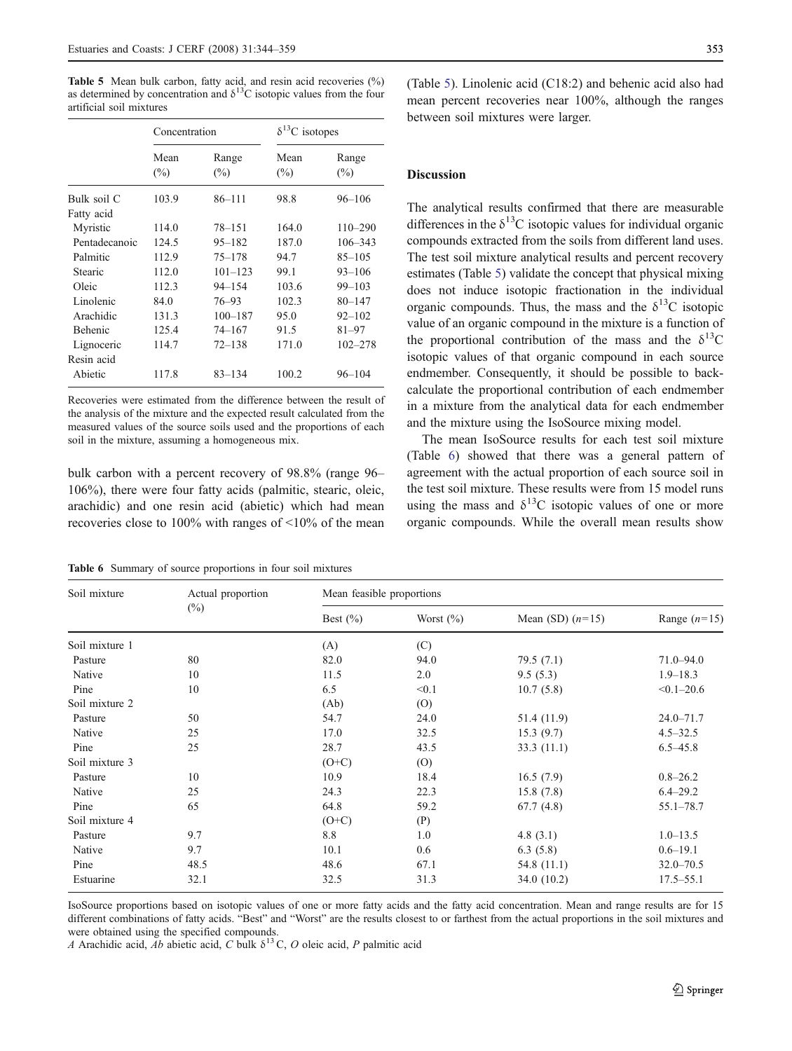<span id="page-9-0"></span>Table 5 Mean bulk carbon, fatty acid, and resin acid recoveries (%) as determined by concentration and  $\delta^{13}$ C isotopic values from the four artificial soil mixtures

|                | Concentration  |                 | $\delta^{13}$ C isotopes |                 |
|----------------|----------------|-----------------|--------------------------|-----------------|
|                | Mean<br>$(\%)$ | Range<br>$(\%)$ | Mean<br>$(\%)$           | Range<br>$(\%)$ |
| Bulk soil C    | 103.9          | $86 - 111$      | 98.8                     | $96 - 106$      |
| Fatty acid     |                |                 |                          |                 |
| Myristic       | 114.0          | $78 - 151$      | 164.0                    | $110 - 290$     |
| Pentadecanoic  | 124.5          | $95 - 182$      | 187.0                    | $106 - 343$     |
| Palmitic       | 112.9          | $75 - 178$      | 94.7                     | $85 - 105$      |
| Stearic        | 112.0          | $101 - 123$     | 99.1                     | $93 - 106$      |
| Oleic          | 112.3          | $94 - 154$      | 103.6                    | $99 - 103$      |
| Linolenic      | 84.0           | 76–93           | 102.3                    | $80 - 147$      |
| Arachidic      | 131.3          | $100 - 187$     | 95.0                     | $92 - 102$      |
| <b>Behenic</b> | 125.4          | $74 - 167$      | 91.5                     | $81 - 97$       |
| Lignoceric     | 114.7          | $72 - 138$      | 171.0                    | $102 - 278$     |
| Resin acid     |                |                 |                          |                 |
| Abietic        | 117.8          | $83 - 134$      | 100.2                    | $96 - 104$      |

Recoveries were estimated from the difference between the result of the analysis of the mixture and the expected result calculated from the measured values of the source soils used and the proportions of each soil in the mixture, assuming a homogeneous mix.

bulk carbon with a percent recovery of 98.8% (range 96– 106%), there were four fatty acids (palmitic, stearic, oleic, arachidic) and one resin acid (abietic) which had mean recoveries close to 100% with ranges of <10% of the mean

Table 6 Summary of source proportions in four soil mixtures

(Table 5). Linolenic acid (C18:2) and behenic acid also had mean percent recoveries near 100%, although the ranges between soil mixtures were larger.

#### Discussion

The analytical results confirmed that there are measurable differences in the  $\delta^{13}$ C isotopic values for individual organic compounds extracted from the soils from different land uses. The test soil mixture analytical results and percent recovery estimates (Table 5) validate the concept that physical mixing does not induce isotopic fractionation in the individual organic compounds. Thus, the mass and the  $\delta^{13}$ C isotopic value of an organic compound in the mixture is a function of the proportional contribution of the mass and the  $\delta^{13}$ C isotopic values of that organic compound in each source endmember. Consequently, it should be possible to backcalculate the proportional contribution of each endmember in a mixture from the analytical data for each endmember and the mixture using the IsoSource mixing model.

The mean IsoSource results for each test soil mixture (Table 6) showed that there was a general pattern of agreement with the actual proportion of each source soil in the test soil mixture. These results were from 15 model runs using the mass and  $\delta^{13}$ C isotopic values of one or more organic compounds. While the overall mean results show

| Soil mixture   | Actual proportion | Mean feasible proportions |               |                    |                |
|----------------|-------------------|---------------------------|---------------|--------------------|----------------|
|                | $(\%)$            | Best $(\% )$              | Worst $(\% )$ | Mean (SD) $(n=15)$ | Range $(n=15)$ |
| Soil mixture 1 |                   | (A)                       | (C)           |                    |                |
| Pasture        | 80                | 82.0                      | 94.0          | 79.5(7.1)          | $71.0 - 94.0$  |
| Native         | 10                | 11.5                      | 2.0           | 9.5(5.3)           | $1.9 - 18.3$   |
| Pine           | 10                | 6.5                       | < 0.1         | 10.7(5.8)          | $< 0.1 - 20.6$ |
| Soil mixture 2 |                   | (Ab)                      | (0)           |                    |                |
| Pasture        | 50                | 54.7                      | 24.0          | 51.4 (11.9)        | $24.0 - 71.7$  |
| Native         | 25                | 17.0                      | 32.5          | 15.3(9.7)          | $4.5 - 32.5$   |
| Pine           | 25                | 28.7                      | 43.5          | 33.3(11.1)         | $6.5 - 45.8$   |
| Soil mixture 3 |                   | $(O+C)$                   | (0)           |                    |                |
| Pasture        | 10                | 10.9                      | 18.4          | 16.5(7.9)          | $0.8 - 26.2$   |
| Native         | 25                | 24.3                      | 22.3          | 15.8(7.8)          | $6.4 - 29.2$   |
| Pine           | 65                | 64.8                      | 59.2          | 67.7(4.8)          | $55.1 - 78.7$  |
| Soil mixture 4 |                   | $(O+C)$                   | (P)           |                    |                |
| Pasture        | 9.7               | 8.8                       | 1.0           | 4.8 $(3.1)$        | $1.0 - 13.5$   |
| Native         | 9.7               | 10.1                      | 0.6           | 6.3(5.8)           | $0.6 - 19.1$   |
| Pine           | 48.5              | 48.6                      | 67.1          | 54.8 (11.1)        | $32.0 - 70.5$  |
| Estuarine      | 32.1              | 32.5                      | 31.3          | 34.0 (10.2)        | $17.5 - 55.1$  |

IsoSource proportions based on isotopic values of one or more fatty acids and the fatty acid concentration. Mean and range results are for 15 different combinations of fatty acids. "Best" and "Worst" are the results closest to or farthest from the actual proportions in the soil mixtures and were obtained using the specified compounds.

A Arachidic acid, Ab abietic acid, C bulk  $\delta^{13}$ C, O oleic acid, P palmitic acid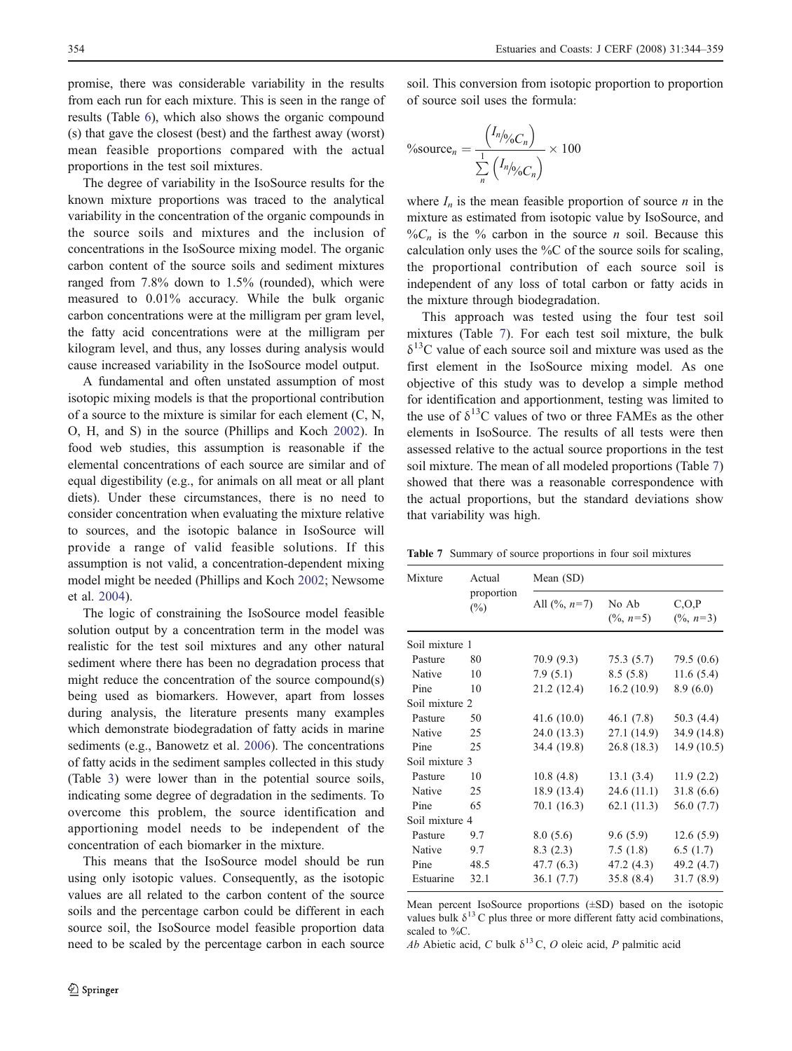<span id="page-10-0"></span>promise, there was considerable variability in the results from each run for each mixture. This is seen in the range of results (Table [6\)](#page-9-0), which also shows the organic compound (s) that gave the closest (best) and the farthest away (worst) mean feasible proportions compared with the actual proportions in the test soil mixtures.

The degree of variability in the IsoSource results for the known mixture proportions was traced to the analytical variability in the concentration of the organic compounds in the source soils and mixtures and the inclusion of concentrations in the IsoSource mixing model. The organic carbon content of the source soils and sediment mixtures ranged from 7.8% down to 1.5% (rounded), which were measured to 0.01% accuracy. While the bulk organic carbon concentrations were at the milligram per gram level, the fatty acid concentrations were at the milligram per kilogram level, and thus, any losses during analysis would cause increased variability in the IsoSource model output.

A fundamental and often unstated assumption of most isotopic mixing models is that the proportional contribution of a source to the mixture is similar for each element (C, N, O, H, and S) in the source (Phillips and Koch [2002\)](#page-15-0). In food web studies, this assumption is reasonable if the elemental concentrations of each source are similar and of equal digestibility (e.g., for animals on all meat or all plant diets). Under these circumstances, there is no need to consider concentration when evaluating the mixture relative to sources, and the isotopic balance in IsoSource will provide a range of valid feasible solutions. If this assumption is not valid, a concentration-dependent mixing model might be needed (Phillips and Koch [2002](#page-15-0); Newsome et al. [2004](#page-14-0)).

The logic of constraining the IsoSource model feasible solution output by a concentration term in the model was realistic for the test soil mixtures and any other natural sediment where there has been no degradation process that might reduce the concentration of the source compound(s) being used as biomarkers. However, apart from losses during analysis, the literature presents many examples which demonstrate biodegradation of fatty acids in marine sediments (e.g., Banowetz et al. [2006\)](#page-13-0). The concentrations of fatty acids in the sediment samples collected in this study (Table [3](#page-7-0)) were lower than in the potential source soils, indicating some degree of degradation in the sediments. To overcome this problem, the source identification and apportioning model needs to be independent of the concentration of each biomarker in the mixture.

This means that the IsoSource model should be run using only isotopic values. Consequently, as the isotopic values are all related to the carbon content of the source soils and the percentage carbon could be different in each source soil, the IsoSource model feasible proportion data need to be scaled by the percentage carbon in each source soil. This conversion from isotopic proportion to proportion of source soil uses the formula:

$$
\% \text{source}_n = \frac{\left(I_n / \phi_0 C_n\right)}{\sum\limits_{n}^{1} \left(I_n / \phi_0 C_n\right)} \times 100
$$

where  $I_n$  is the mean feasible proportion of source *n* in the mixture as estimated from isotopic value by IsoSource, and  $\%C_n$  is the % carbon in the source *n* soil. Because this calculation only uses the %C of the source soils for scaling, the proportional contribution of each source soil is independent of any loss of total carbon or fatty acids in the mixture through biodegradation.

This approach was tested using the four test soil mixtures (Table 7). For each test soil mixture, the bulk  $\delta^{13}$ C value of each source soil and mixture was used as the first element in the IsoSource mixing model. As one objective of this study was to develop a simple method for identification and apportionment, testing was limited to the use of  $\delta^{13}$ C values of two or three FAMEs as the other elements in IsoSource. The results of all tests were then assessed relative to the actual source proportions in the test soil mixture. The mean of all modeled proportions (Table 7) showed that there was a reasonable correspondence with the actual proportions, but the standard deviations show that variability was high.

Table 7 Summary of source proportions in four soil mixtures

| Mixture        | Actual               | Mean (SD)                |                               |                                 |
|----------------|----------------------|--------------------------|-------------------------------|---------------------------------|
|                | proportion<br>$(\%)$ | All $(\frac{9}{6}, n=7)$ | No Ab<br>$(\frac{9}{6}, n=5)$ | C, O, P<br>$(\frac{9}{6}, n=3)$ |
| Soil mixture 1 |                      |                          |                               |                                 |
| Pasture        | 80                   | 70.9(9.3)                | 75.3(5.7)                     | 79.5(0.6)                       |
| Native         | 10                   | 7.9(5.1)                 | 8.5(5.8)                      | 11.6(5.4)                       |
| Pine           | 10                   | 21.2 (12.4)              | 16.2(10.9)                    | 8.9(6.0)                        |
| Soil mixture 2 |                      |                          |                               |                                 |
| Pasture        | 50                   | 41.6(10.0)               | 46.1 (7.8)                    | 50.3 (4.4)                      |
| Native         | 25                   | 24.0(13.3)               | 27.1 (14.9)                   | 34.9 (14.8)                     |
| Pine           | 25                   | 34.4 (19.8)              | 26.8(18.3)                    | 14.9(10.5)                      |
| Soil mixture 3 |                      |                          |                               |                                 |
| Pasture        | 10                   | 10.8(4.8)                | 13.1(3.4)                     | 11.9(2.2)                       |
| Native         | 25                   | 18.9 (13.4)              | 24.6 (11.1)                   | 31.8(6.6)                       |
| Pine           | 65                   | 70.1 (16.3)              | 62.1(11.3)                    | 56.0 (7.7)                      |
| Soil mixture 4 |                      |                          |                               |                                 |
| Pasture        | 9.7                  | 8.0(5.6)                 | 9.6(5.9)                      | 12.6(5.9)                       |
| Native         | 9.7                  | 8.3(2.3)                 | 7.5(1.8)                      | 6.5(1.7)                        |
| Pine           | 48.5                 | 47.7 (6.3)               | 47.2 (4.3)                    | 49.2 (4.7)                      |
| Estuarine      | 32.1                 | 36.1(7.7)                | 35.8(8.4)                     | 31.7(8.9)                       |

Mean percent IsoSource proportions (±SD) based on the isotopic values bulk  $\delta^{13}$  C plus three or more different fatty acid combinations. scaled to %C.

Ab Abietic acid, C bulk  $\delta^{13}$ C, O oleic acid, P palmitic acid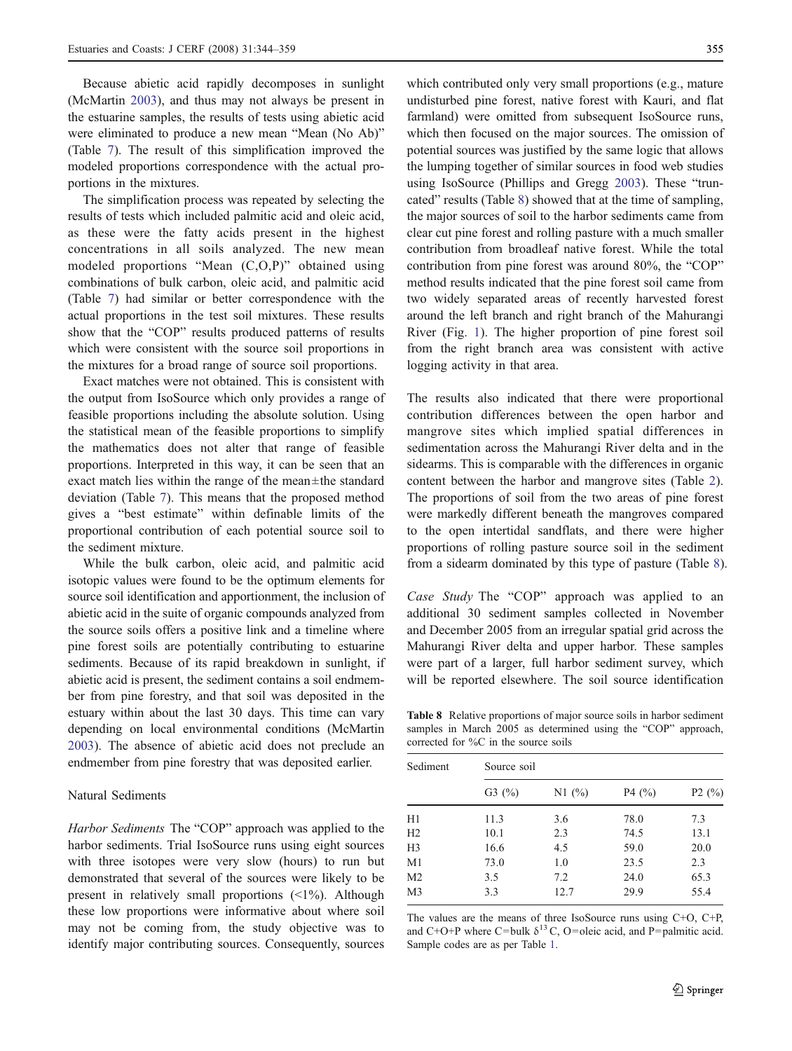<span id="page-11-0"></span>Because abietic acid rapidly decomposes in sunlight (McMartin [2003](#page-14-0)), and thus may not always be present in the estuarine samples, the results of tests using abietic acid were eliminated to produce a new mean "Mean (No Ab)" (Table [7\)](#page-10-0). The result of this simplification improved the modeled proportions correspondence with the actual proportions in the mixtures.

The simplification process was repeated by selecting the results of tests which included palmitic acid and oleic acid, as these were the fatty acids present in the highest concentrations in all soils analyzed. The new mean modeled proportions "Mean (C,O,P)" obtained using combinations of bulk carbon, oleic acid, and palmitic acid (Table [7](#page-10-0)) had similar or better correspondence with the actual proportions in the test soil mixtures. These results show that the "COP" results produced patterns of results which were consistent with the source soil proportions in the mixtures for a broad range of source soil proportions.

Exact matches were not obtained. This is consistent with the output from IsoSource which only provides a range of feasible proportions including the absolute solution. Using the statistical mean of the feasible proportions to simplify the mathematics does not alter that range of feasible proportions. Interpreted in this way, it can be seen that an exact match lies within the range of the mean±the standard deviation (Table [7](#page-10-0)). This means that the proposed method gives a "best estimate" within definable limits of the proportional contribution of each potential source soil to the sediment mixture.

While the bulk carbon, oleic acid, and palmitic acid isotopic values were found to be the optimum elements for source soil identification and apportionment, the inclusion of abietic acid in the suite of organic compounds analyzed from the source soils offers a positive link and a timeline where pine forest soils are potentially contributing to estuarine sediments. Because of its rapid breakdown in sunlight, if abietic acid is present, the sediment contains a soil endmember from pine forestry, and that soil was deposited in the estuary within about the last 30 days. This time can vary depending on local environmental conditions (McMartin [2003\)](#page-14-0). The absence of abietic acid does not preclude an endmember from pine forestry that was deposited earlier.

#### Natural Sediments

Harbor Sediments The "COP" approach was applied to the harbor sediments. Trial IsoSource runs using eight sources with three isotopes were very slow (hours) to run but demonstrated that several of the sources were likely to be present in relatively small proportions  $\left( \langle 1\% \rangle \right)$ . Although these low proportions were informative about where soil may not be coming from, the study objective was to identify major contributing sources. Consequently, sources

which contributed only very small proportions (e.g., mature undisturbed pine forest, native forest with Kauri, and flat farmland) were omitted from subsequent IsoSource runs, which then focused on the major sources. The omission of potential sources was justified by the same logic that allows the lumping together of similar sources in food web studies using IsoSource (Phillips and Gregg [2003](#page-15-0)). These "truncated" results (Table 8) showed that at the time of sampling, the major sources of soil to the harbor sediments came from clear cut pine forest and rolling pasture with a much smaller contribution from broadleaf native forest. While the total contribution from pine forest was around 80%, the "COP" method results indicated that the pine forest soil came from two widely separated areas of recently harvested forest around the left branch and right branch of the Mahurangi River (Fig. [1](#page-2-0)). The higher proportion of pine forest soil from the right branch area was consistent with active logging activity in that area.

The results also indicated that there were proportional contribution differences between the open harbor and mangrove sites which implied spatial differences in sedimentation across the Mahurangi River delta and in the sidearms. This is comparable with the differences in organic content between the harbor and mangrove sites (Table [2\)](#page-6-0). The proportions of soil from the two areas of pine forest were markedly different beneath the mangroves compared to the open intertidal sandflats, and there were higher proportions of rolling pasture source soil in the sediment from a sidearm dominated by this type of pasture (Table 8).

Case Study The "COP" approach was applied to an additional 30 sediment samples collected in November and December 2005 from an irregular spatial grid across the Mahurangi River delta and upper harbor. These samples were part of a larger, full harbor sediment survey, which will be reported elsewhere. The soil source identification

Table 8 Relative proportions of major source soils in harbor sediment samples in March 2005 as determined using the "COP" approach, corrected for %C in the source soils

| Sediment       | Source soil |       |       |       |
|----------------|-------------|-------|-------|-------|
|                | G3(%)       | N1(%) | P4(%) | P2(%) |
| H1             | 11.3        | 3.6   | 78.0  | 7.3   |
| H <sub>2</sub> | 10.1        | 2.3   | 74.5  | 13.1  |
| H <sub>3</sub> | 16.6        | 4.5   | 59.0  | 20.0  |
| M <sub>1</sub> | 73.0        | 1.0   | 23.5  | 2.3   |
| M <sub>2</sub> | 3.5         | 7.2   | 24.0  | 65.3  |
| M3             | 3.3         | 12.7  | 29.9  | 55.4  |

The values are the means of three IsoSource runs using C+O, C+P, and C+O+P where C=bulk  $\delta^{13}$  C, O=oleic acid, and P=palmitic acid. Sample codes are as per Table [1.](#page-3-0)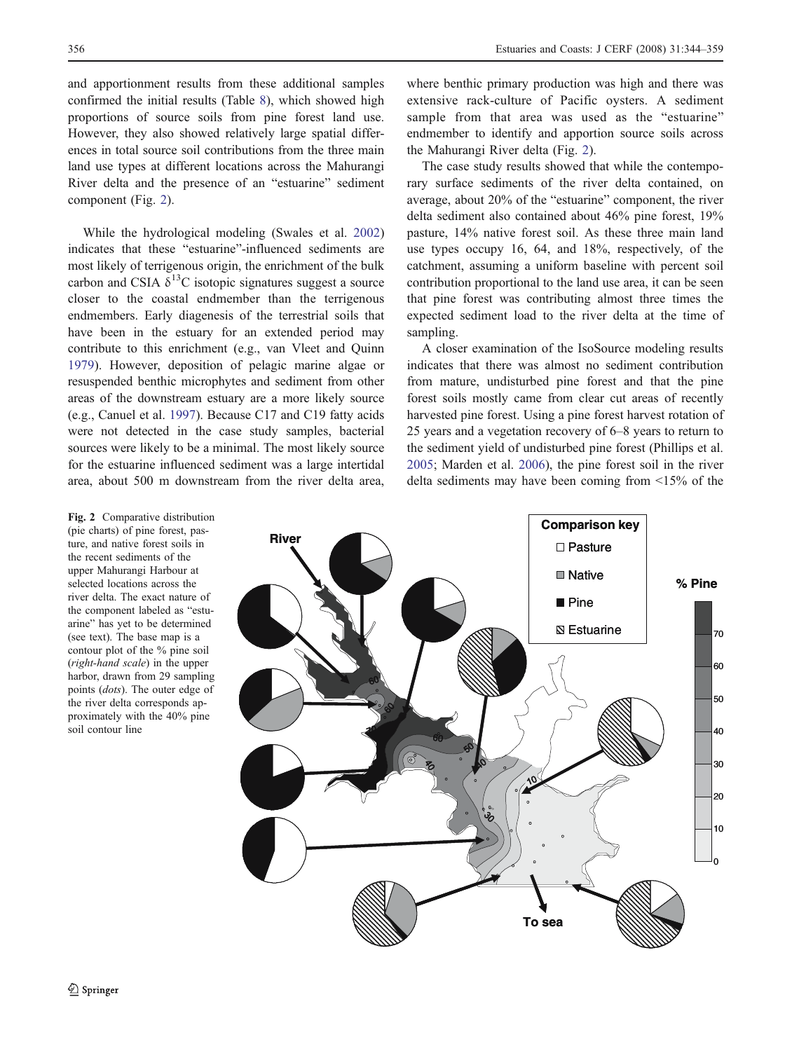<span id="page-12-0"></span>and apportionment results from these additional samples confirmed the initial results (Table [8](#page-11-0)), which showed high proportions of source soils from pine forest land use. However, they also showed relatively large spatial differences in total source soil contributions from the three main land use types at different locations across the Mahurangi River delta and the presence of an "estuarine" sediment component (Fig. 2).

While the hydrological modeling (Swales et al. [2002\)](#page-15-0) indicates that these "estuarine"-influenced sediments are most likely of terrigenous origin, the enrichment of the bulk carbon and CSIA  $\delta^{13}$ C isotopic signatures suggest a source closer to the coastal endmember than the terrigenous endmembers. Early diagenesis of the terrestrial soils that have been in the estuary for an extended period may contribute to this enrichment (e.g., van Vleet and Quinn [1979](#page-15-0)). However, deposition of pelagic marine algae or resuspended benthic microphytes and sediment from other areas of the downstream estuary are a more likely source (e.g., Canuel et al. [1997](#page-13-0)). Because C17 and C19 fatty acids were not detected in the case study samples, bacterial sources were likely to be a minimal. The most likely source for the estuarine influenced sediment was a large intertidal area, about 500 m downstream from the river delta area,

where benthic primary production was high and there was extensive rack-culture of Pacific oysters. A sediment sample from that area was used as the "estuarine" endmember to identify and apportion source soils across the Mahurangi River delta (Fig. 2).

The case study results showed that while the contemporary surface sediments of the river delta contained, on average, about 20% of the "estuarine" component, the river delta sediment also contained about 46% pine forest, 19% pasture, 14% native forest soil. As these three main land use types occupy 16, 64, and 18%, respectively, of the catchment, assuming a uniform baseline with percent soil contribution proportional to the land use area, it can be seen that pine forest was contributing almost three times the expected sediment load to the river delta at the time of sampling.

A closer examination of the IsoSource modeling results indicates that there was almost no sediment contribution from mature, undisturbed pine forest and that the pine forest soils mostly came from clear cut areas of recently harvested pine forest. Using a pine forest harvest rotation of 25 years and a vegetation recovery of 6–8 years to return to the sediment yield of undisturbed pine forest (Phillips et al. [2005](#page-15-0); Marden et al. [2006](#page-14-0)), the pine forest soil in the river delta sediments may have been coming from <15% of the

**Comparison key River** □ Pasture **■** Native **% Pine**  $\blacksquare$  Pine **Estuarine** 70 60 50 40 30 ٨C 20 10 0 **To sea**

Fig. 2 Comparative distribution (pie charts) of pine forest, pasture, and native forest soils in the recent sediments of the upper Mahurangi Harbour at selected locations across the river delta. The exact nature of the component labeled as "estuarine" has yet to be determined (see text). The base map is a contour plot of the % pine soil (right-hand scale) in the upper harbor, drawn from 29 sampling points (dots). The outer edge of the river delta corresponds approximately with the 40% pine soil contour line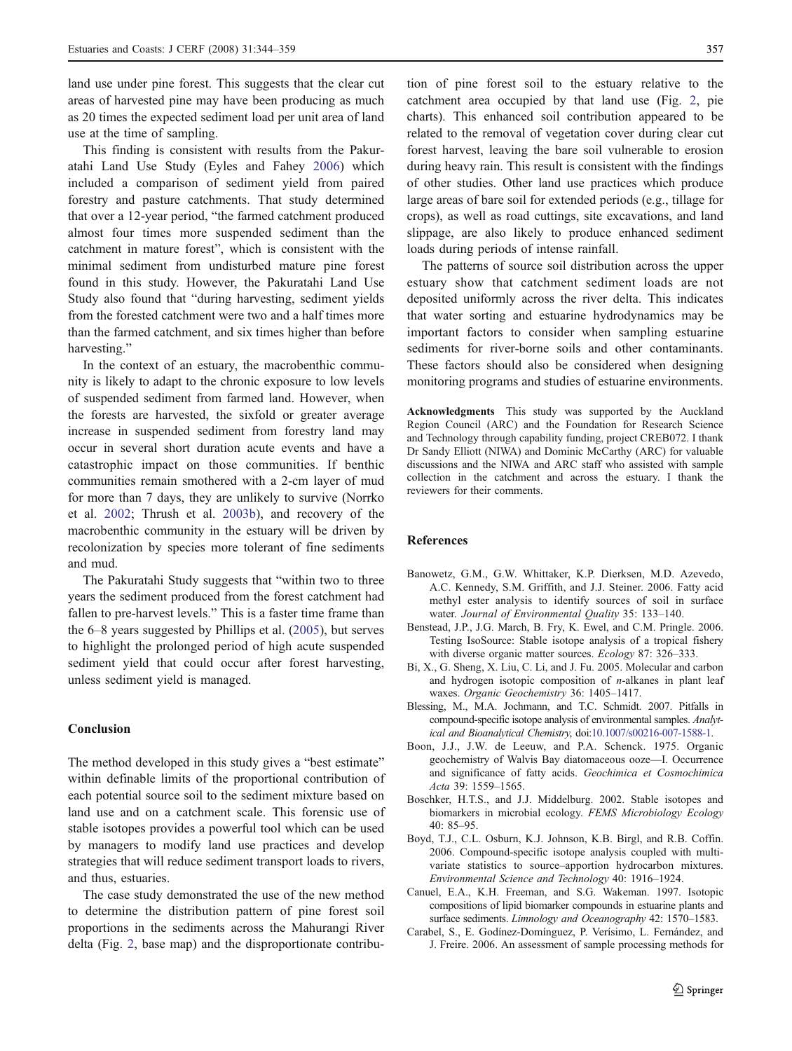<span id="page-13-0"></span>land use under pine forest. This suggests that the clear cut areas of harvested pine may have been producing as much as 20 times the expected sediment load per unit area of land use at the time of sampling.

This finding is consistent with results from the Pakuratahi Land Use Study (Eyles and Fahey [2006\)](#page-14-0) which included a comparison of sediment yield from paired forestry and pasture catchments. That study determined that over a 12-year period, "the farmed catchment produced almost four times more suspended sediment than the catchment in mature forest", which is consistent with the minimal sediment from undisturbed mature pine forest found in this study. However, the Pakuratahi Land Use Study also found that "during harvesting, sediment yields from the forested catchment were two and a half times more than the farmed catchment, and six times higher than before harvesting."

In the context of an estuary, the macrobenthic community is likely to adapt to the chronic exposure to low levels of suspended sediment from farmed land. However, when the forests are harvested, the sixfold or greater average increase in suspended sediment from forestry land may occur in several short duration acute events and have a catastrophic impact on those communities. If benthic communities remain smothered with a 2-cm layer of mud for more than 7 days, they are unlikely to survive (Norrko et al. [2002;](#page-14-0) Thrush et al. [2003b\)](#page-15-0), and recovery of the macrobenthic community in the estuary will be driven by recolonization by species more tolerant of fine sediments and mud.

The Pakuratahi Study suggests that "within two to three years the sediment produced from the forest catchment had fallen to pre-harvest levels." This is a faster time frame than the 6–8 years suggested by Phillips et al. ([2005](#page-15-0)), but serves to highlight the prolonged period of high acute suspended sediment yield that could occur after forest harvesting, unless sediment yield is managed.

# Conclusion

The method developed in this study gives a "best estimate" within definable limits of the proportional contribution of each potential source soil to the sediment mixture based on land use and on a catchment scale. This forensic use of stable isotopes provides a powerful tool which can be used by managers to modify land use practices and develop strategies that will reduce sediment transport loads to rivers, and thus, estuaries.

The case study demonstrated the use of the new method to determine the distribution pattern of pine forest soil proportions in the sediments across the Mahurangi River delta (Fig. [2,](#page-12-0) base map) and the disproportionate contribu-

tion of pine forest soil to the estuary relative to the catchment area occupied by that land use (Fig. [2,](#page-12-0) pie charts). This enhanced soil contribution appeared to be related to the removal of vegetation cover during clear cut forest harvest, leaving the bare soil vulnerable to erosion during heavy rain. This result is consistent with the findings of other studies. Other land use practices which produce large areas of bare soil for extended periods (e.g., tillage for crops), as well as road cuttings, site excavations, and land slippage, are also likely to produce enhanced sediment loads during periods of intense rainfall.

The patterns of source soil distribution across the upper estuary show that catchment sediment loads are not deposited uniformly across the river delta. This indicates that water sorting and estuarine hydrodynamics may be important factors to consider when sampling estuarine sediments for river-borne soils and other contaminants. These factors should also be considered when designing monitoring programs and studies of estuarine environments.

Acknowledgments This study was supported by the Auckland Region Council (ARC) and the Foundation for Research Science and Technology through capability funding, project CREB072. I thank Dr Sandy Elliott (NIWA) and Dominic McCarthy (ARC) for valuable discussions and the NIWA and ARC staff who assisted with sample collection in the catchment and across the estuary. I thank the reviewers for their comments.

## References

- Banowetz, G.M., G.W. Whittaker, K.P. Dierksen, M.D. Azevedo, A.C. Kennedy, S.M. Griffith, and J.J. Steiner. 2006. Fatty acid methyl ester analysis to identify sources of soil in surface water. Journal of Environmental Quality 35: 133–140.
- Benstead, J.P., J.G. March, B. Fry, K. Ewel, and C.M. Pringle. 2006. Testing IsoSource: Stable isotope analysis of a tropical fishery with diverse organic matter sources. Ecology 87: 326-333.
- Bi, X., G. Sheng, X. Liu, C. Li, and J. Fu. 2005. Molecular and carbon and hydrogen isotopic composition of  $n$ -alkanes in plant leaf waxes. Organic Geochemistry 36: 1405–1417.
- Blessing, M., M.A. Jochmann, and T.C. Schmidt. 2007. Pitfalls in compound-specific isotope analysis of environmental samples. Analytical and Bioanalytical Chemistry, doi[:10.1007/s00216-007-1588-1.](http://dx.doi.org/10.1007/s00216-007-1588-1)
- Boon, J.J., J.W. de Leeuw, and P.A. Schenck. 1975. Organic geochemistry of Walvis Bay diatomaceous ooze—I. Occurrence and significance of fatty acids. Geochimica et Cosmochimica Acta 39: 1559–1565.
- Boschker, H.T.S., and J.J. Middelburg. 2002. Stable isotopes and biomarkers in microbial ecology. FEMS Microbiology Ecology 40: 85–95.
- Boyd, T.J., C.L. Osburn, K.J. Johnson, K.B. Birgl, and R.B. Coffin. 2006. Compound-specific isotope analysis coupled with multivariate statistics to source–apportion hydrocarbon mixtures. Environmental Science and Technology 40: 1916–1924.
- Canuel, E.A., K.H. Freeman, and S.G. Wakeman. 1997. Isotopic compositions of lipid biomarker compounds in estuarine plants and surface sediments. Limnology and Oceanography 42: 1570–1583.
- Carabel, S., E. Godínez-Domínguez, P. Verísimo, L. Fernández, and J. Freire. 2006. An assessment of sample processing methods for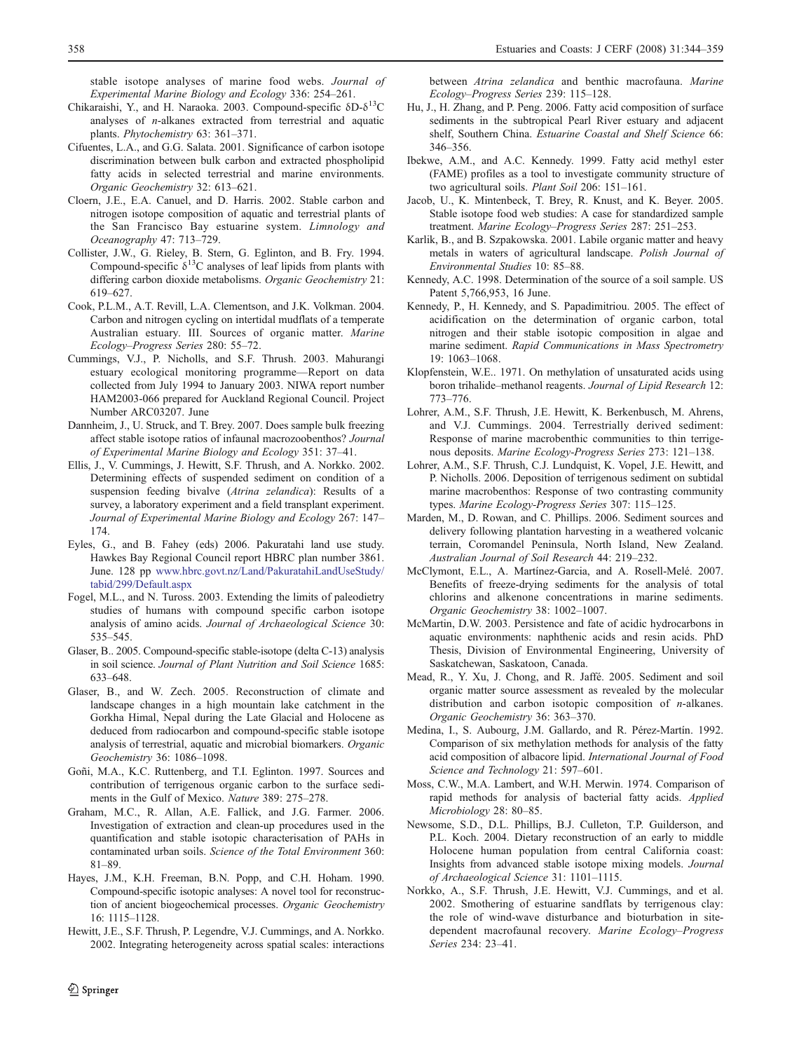<span id="page-14-0"></span>stable isotope analyses of marine food webs. Journal of Experimental Marine Biology and Ecology 336: 254–261.

- Chikaraishi, Y., and H. Naraoka. 2003. Compound-specific  $δD-δ<sup>13</sup>C$ analyses of n-alkanes extracted from terrestrial and aquatic plants. Phytochemistry 63: 361–371.
- Cifuentes, L.A., and G.G. Salata. 2001. Significance of carbon isotope discrimination between bulk carbon and extracted phospholipid fatty acids in selected terrestrial and marine environments. Organic Geochemistry 32: 613–621.
- Cloern, J.E., E.A. Canuel, and D. Harris. 2002. Stable carbon and nitrogen isotope composition of aquatic and terrestrial plants of the San Francisco Bay estuarine system. Limnology and Oceanography 47: 713–729.
- Collister, J.W., G. Rieley, B. Stern, G. Eglinton, and B. Fry. 1994. Compound-specific  $\delta^{13}$ C analyses of leaf lipids from plants with differing carbon dioxide metabolisms. Organic Geochemistry 21: 619–627.
- Cook, P.L.M., A.T. Revill, L.A. Clementson, and J.K. Volkman. 2004. Carbon and nitrogen cycling on intertidal mudflats of a temperate Australian estuary. III. Sources of organic matter. Marine Ecology–Progress Series 280: 55–72.
- Cummings, V.J., P. Nicholls, and S.F. Thrush. 2003. Mahurangi estuary ecological monitoring programme—Report on data collected from July 1994 to January 2003. NIWA report number HAM2003-066 prepared for Auckland Regional Council. Project Number ARC03207. June
- Dannheim, J., U. Struck, and T. Brey. 2007. Does sample bulk freezing affect stable isotope ratios of infaunal macrozoobenthos? Journal of Experimental Marine Biology and Ecology 351: 37–41.
- Ellis, J., V. Cummings, J. Hewitt, S.F. Thrush, and A. Norkko. 2002. Determining effects of suspended sediment on condition of a suspension feeding bivalve (Atrina zelandica): Results of a survey, a laboratory experiment and a field transplant experiment. Journal of Experimental Marine Biology and Ecology 267: 147– 174.
- Eyles, G., and B. Fahey (eds) 2006. Pakuratahi land use study. Hawkes Bay Regional Council report HBRC plan number 3861. June. 128 pp [www.hbrc.govt.nz/Land/PakuratahiLandUseStudy/](http://www.hbrc.govt.nz/Land/PakuratahiLandUseStudy/tabid/299/Default.aspx) [tabid/299/Default.aspx](http://www.hbrc.govt.nz/Land/PakuratahiLandUseStudy/tabid/299/Default.aspx)
- Fogel, M.L., and N. Tuross. 2003. Extending the limits of paleodietry studies of humans with compound specific carbon isotope analysis of amino acids. Journal of Archaeological Science 30: 535–545.
- Glaser, B.. 2005. Compound-specific stable-isotope (delta C-13) analysis in soil science. Journal of Plant Nutrition and Soil Science 1685: 633–648.
- Glaser, B., and W. Zech. 2005. Reconstruction of climate and landscape changes in a high mountain lake catchment in the Gorkha Himal, Nepal during the Late Glacial and Holocene as deduced from radiocarbon and compound-specific stable isotope analysis of terrestrial, aquatic and microbial biomarkers. Organic Geochemistry 36: 1086–1098.
- Goñi, M.A., K.C. Ruttenberg, and T.I. Eglinton. 1997. Sources and contribution of terrigenous organic carbon to the surface sediments in the Gulf of Mexico. Nature 389: 275–278.
- Graham, M.C., R. Allan, A.E. Fallick, and J.G. Farmer. 2006. Investigation of extraction and clean-up procedures used in the quantification and stable isotopic characterisation of PAHs in contaminated urban soils. Science of the Total Environment 360: 81–89.
- Hayes, J.M., K.H. Freeman, B.N. Popp, and C.H. Hoham. 1990. Compound-specific isotopic analyses: A novel tool for reconstruction of ancient biogeochemical processes. Organic Geochemistry 16: 1115–1128.
- Hewitt, J.E., S.F. Thrush, P. Legendre, V.J. Cummings, and A. Norkko. 2002. Integrating heterogeneity across spatial scales: interactions

between Atrina zelandica and benthic macrofauna. Marine Ecology–Progress Series 239: 115–128.

- Hu, J., H. Zhang, and P. Peng. 2006. Fatty acid composition of surface sediments in the subtropical Pearl River estuary and adjacent shelf, Southern China. Estuarine Coastal and Shelf Science 66: 346–356.
- Ibekwe, A.M., and A.C. Kennedy. 1999. Fatty acid methyl ester (FAME) profiles as a tool to investigate community structure of two agricultural soils. Plant Soil 206: 151–161.
- Jacob, U., K. Mintenbeck, T. Brey, R. Knust, and K. Beyer. 2005. Stable isotope food web studies: A case for standardized sample treatment. Marine Ecology–Progress Series 287: 251–253.
- Karlik, B., and B. Szpakowska. 2001. Labile organic matter and heavy metals in waters of agricultural landscape. Polish Journal of Environmental Studies 10: 85–88.
- Kennedy, A.C. 1998. Determination of the source of a soil sample. US Patent 5,766,953, 16 June.
- Kennedy, P., H. Kennedy, and S. Papadimitriou. 2005. The effect of acidification on the determination of organic carbon, total nitrogen and their stable isotopic composition in algae and marine sediment. Rapid Communications in Mass Spectrometry 19: 1063–1068.
- Klopfenstein, W.E.. 1971. On methylation of unsaturated acids using boron trihalide–methanol reagents. Journal of Lipid Research 12: 773–776.
- Lohrer, A.M., S.F. Thrush, J.E. Hewitt, K. Berkenbusch, M. Ahrens, and V.J. Cummings. 2004. Terrestrially derived sediment: Response of marine macrobenthic communities to thin terrigenous deposits. Marine Ecology-Progress Series 273: 121–138.
- Lohrer, A.M., S.F. Thrush, C.J. Lundquist, K. Vopel, J.E. Hewitt, and P. Nicholls. 2006. Deposition of terrigenous sediment on subtidal marine macrobenthos: Response of two contrasting community types. Marine Ecology-Progress Series 307: 115–125.
- Marden, M., D. Rowan, and C. Phillips. 2006. Sediment sources and delivery following plantation harvesting in a weathered volcanic terrain, Coromandel Peninsula, North Island, New Zealand. Australian Journal of Soil Research 44: 219–232.
- McClymont, E.L., A. Martínez-Garcia, and A. Rosell-Melé. 2007. Benefits of freeze-drying sediments for the analysis of total chlorins and alkenone concentrations in marine sediments. Organic Geochemistry 38: 1002–1007.
- McMartin, D.W. 2003. Persistence and fate of acidic hydrocarbons in aquatic environments: naphthenic acids and resin acids. PhD Thesis, Division of Environmental Engineering, University of Saskatchewan, Saskatoon, Canada.
- Mead, R., Y. Xu, J. Chong, and R. Jaffé. 2005. Sediment and soil organic matter source assessment as revealed by the molecular distribution and carbon isotopic composition of n-alkanes. Organic Geochemistry 36: 363–370.
- Medina, I., S. Aubourg, J.M. Gallardo, and R. Pérez-Martín. 1992. Comparison of six methylation methods for analysis of the fatty acid composition of albacore lipid. International Journal of Food Science and Technology 21: 597–601.
- Moss, C.W., M.A. Lambert, and W.H. Merwin. 1974. Comparison of rapid methods for analysis of bacterial fatty acids. Applied Microbiology 28: 80–85.
- Newsome, S.D., D.L. Phillips, B.J. Culleton, T.P. Guilderson, and P.L. Koch. 2004. Dietary reconstruction of an early to middle Holocene human population from central California coast: Insights from advanced stable isotope mixing models. Journal of Archaeological Science 31: 1101–1115.
- Norkko, A., S.F. Thrush, J.E. Hewitt, V.J. Cummings, and et al. 2002. Smothering of estuarine sandflats by terrigenous clay: the role of wind-wave disturbance and bioturbation in sitedependent macrofaunal recovery. Marine Ecology–Progress Series 234: 23–41.